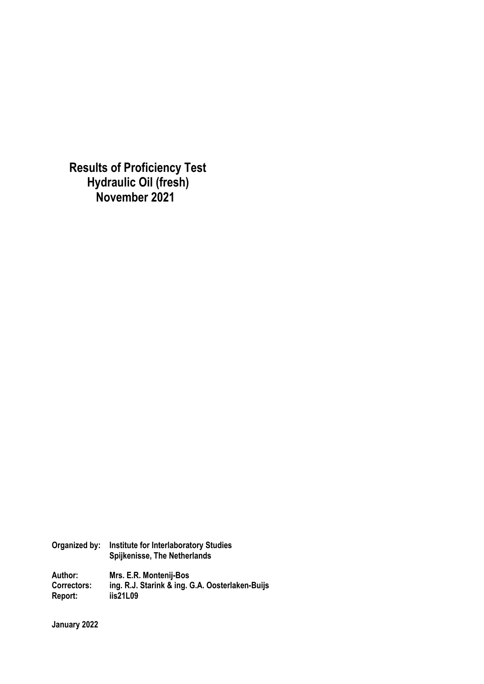**Results of Proficiency Test Hydraulic Oil (fresh) November 2021** 

**Organized by: Institute for Interlaboratory Studies Spijkenisse, The Netherlands Author: Mrs. E.R. Montenij-Bos Correctors: ing. R.J. Starink & ing. G.A. Oosterlaken-Buijs Report: iis21L09** 

**January 2022**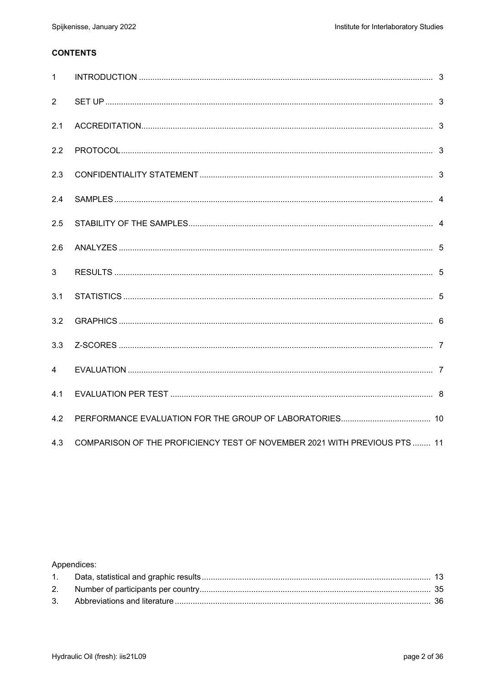### **CONTENTS**

| $\mathbf{1}$   |                                                                           |  |
|----------------|---------------------------------------------------------------------------|--|
| 2              |                                                                           |  |
| 2.1            |                                                                           |  |
| 2.2            |                                                                           |  |
| 2.3            |                                                                           |  |
| 2.4            |                                                                           |  |
| 2.5            |                                                                           |  |
| 2.6            |                                                                           |  |
| $\mathbf{3}$   |                                                                           |  |
| 3.1            |                                                                           |  |
| 3.2            |                                                                           |  |
| 3.3            |                                                                           |  |
| $\overline{4}$ |                                                                           |  |
| 4.1            |                                                                           |  |
| 4.2            |                                                                           |  |
| 4.3            | COMPARISON OF THE PROFICIENCY TEST OF NOVEMBER 2021 WITH PREVIOUS PTS  11 |  |

## Appendices: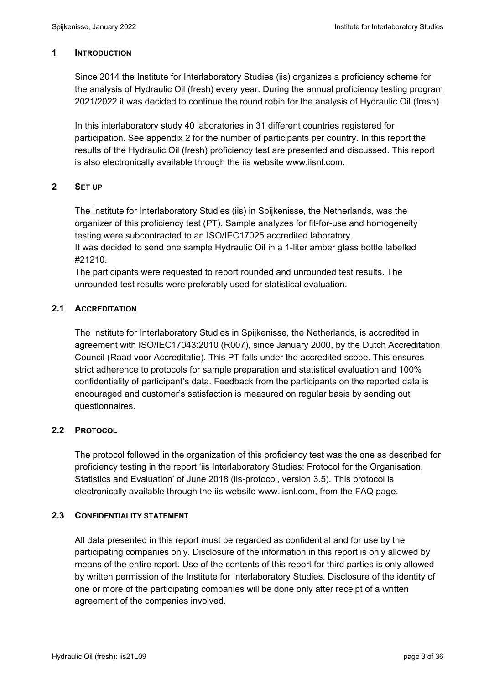#### **1 INTRODUCTION**

Since 2014 the Institute for Interlaboratory Studies (iis) organizes a proficiency scheme for the analysis of Hydraulic Oil (fresh) every year. During the annual proficiency testing program 2021/2022 it was decided to continue the round robin for the analysis of Hydraulic Oil (fresh).

In this interlaboratory study 40 laboratories in 31 different countries registered for participation. See appendix 2 for the number of participants per country. In this report the results of the Hydraulic Oil (fresh) proficiency test are presented and discussed. This report is also electronically available through the iis website www.iisnl.com.

### **2 SET UP**

The Institute for Interlaboratory Studies (iis) in Spijkenisse, the Netherlands, was the organizer of this proficiency test (PT). Sample analyzes for fit-for-use and homogeneity testing were subcontracted to an ISO/IEC17025 accredited laboratory.

It was decided to send one sample Hydraulic Oil in a 1-liter amber glass bottle labelled #21210.

The participants were requested to report rounded and unrounded test results. The unrounded test results were preferably used for statistical evaluation.

## **2.1 ACCREDITATION**

The Institute for Interlaboratory Studies in Spijkenisse, the Netherlands, is accredited in agreement with ISO/IEC17043:2010 (R007), since January 2000, by the Dutch Accreditation Council (Raad voor Accreditatie). This PT falls under the accredited scope. This ensures strict adherence to protocols for sample preparation and statistical evaluation and 100% confidentiality of participant's data. Feedback from the participants on the reported data is encouraged and customer's satisfaction is measured on regular basis by sending out questionnaires.

## **2.2 PROTOCOL**

The protocol followed in the organization of this proficiency test was the one as described for proficiency testing in the report 'iis Interlaboratory Studies: Protocol for the Organisation, Statistics and Evaluation' of June 2018 (iis-protocol, version 3.5). This protocol is electronically available through the iis website www.iisnl.com, from the FAQ page.

#### **2.3 CONFIDENTIALITY STATEMENT**

All data presented in this report must be regarded as confidential and for use by the participating companies only. Disclosure of the information in this report is only allowed by means of the entire report. Use of the contents of this report for third parties is only allowed by written permission of the Institute for Interlaboratory Studies. Disclosure of the identity of one or more of the participating companies will be done only after receipt of a written agreement of the companies involved.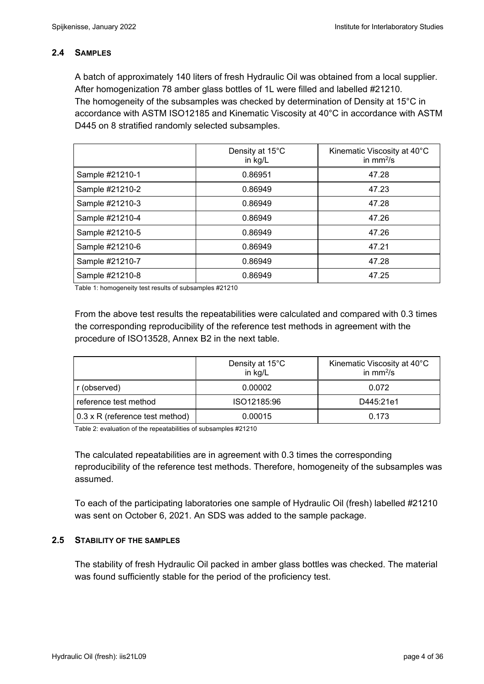### **2.4 SAMPLES**

A batch of approximately 140 liters of fresh Hydraulic Oil was obtained from a local supplier. After homogenization 78 amber glass bottles of 1L were filled and labelled #21210. The homogeneity of the subsamples was checked by determination of Density at 15°C in accordance with ASTM ISO12185 and Kinematic Viscosity at 40°C in accordance with ASTM D445 on 8 stratified randomly selected subsamples.

|                 | Density at 15°C<br>in kg/L | Kinematic Viscosity at 40°C<br>in $mm^2/s$ |
|-----------------|----------------------------|--------------------------------------------|
| Sample #21210-1 | 0.86951                    | 47.28                                      |
| Sample #21210-2 | 0.86949                    | 47.23                                      |
| Sample #21210-3 | 0.86949                    | 47.28                                      |
| Sample #21210-4 | 0.86949                    | 47.26                                      |
| Sample #21210-5 | 0.86949                    | 47.26                                      |
| Sample #21210-6 | 0.86949                    | 47.21                                      |
| Sample #21210-7 | 0.86949                    | 47.28                                      |
| Sample #21210-8 | 0.86949                    | 47.25                                      |

Table 1: homogeneity test results of subsamples #21210

From the above test results the repeatabilities were calculated and compared with 0.3 times the corresponding reproducibility of the reference test methods in agreement with the procedure of ISO13528, Annex B2 in the next table.

|                                        | Density at 15°C<br>in kg/L | Kinematic Viscosity at 40°C<br>in $mm^2/s$ |
|----------------------------------------|----------------------------|--------------------------------------------|
| r (observed)                           | 0.00002                    | 0.072                                      |
| reference test method                  | ISO12185:96                | D445:21e1                                  |
| $0.3 \times R$ (reference test method) | 0.00015                    | 0.173                                      |

Table 2: evaluation of the repeatabilities of subsamples #21210

The calculated repeatabilities are in agreement with 0.3 times the corresponding reproducibility of the reference test methods. Therefore, homogeneity of the subsamples was assumed.

To each of the participating laboratories one sample of Hydraulic Oil (fresh) labelled #21210 was sent on October 6, 2021. An SDS was added to the sample package.

#### **2.5 STABILITY OF THE SAMPLES**

The stability of fresh Hydraulic Oil packed in amber glass bottles was checked. The material was found sufficiently stable for the period of the proficiency test.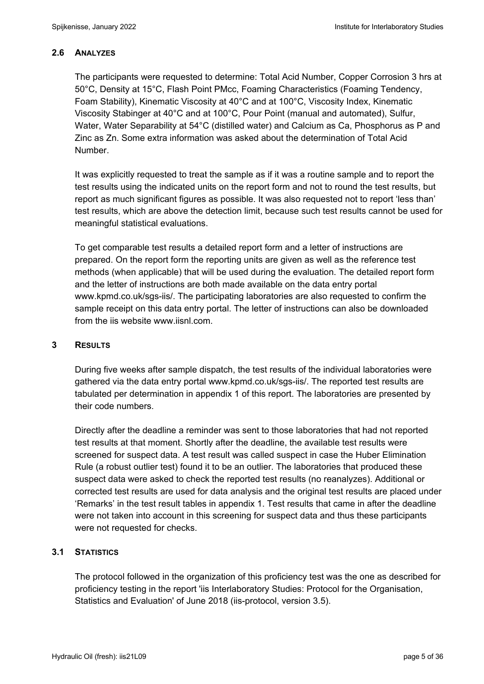## **2.6 ANALYZES**

The participants were requested to determine: Total Acid Number, Copper Corrosion 3 hrs at 50°C, Density at 15°C, Flash Point PMcc, Foaming Characteristics (Foaming Tendency, Foam Stability), Kinematic Viscosity at 40°C and at 100°C, Viscosity Index, Kinematic Viscosity Stabinger at 40°C and at 100°C, Pour Point (manual and automated), Sulfur, Water, Water Separability at 54°C (distilled water) and Calcium as Ca, Phosphorus as P and Zinc as Zn. Some extra information was asked about the determination of Total Acid Number.

It was explicitly requested to treat the sample as if it was a routine sample and to report the test results using the indicated units on the report form and not to round the test results, but report as much significant figures as possible. It was also requested not to report 'less than' test results, which are above the detection limit, because such test results cannot be used for meaningful statistical evaluations.

To get comparable test results a detailed report form and a letter of instructions are prepared. On the report form the reporting units are given as well as the reference test methods (when applicable) that will be used during the evaluation. The detailed report form and the letter of instructions are both made available on the data entry portal www.kpmd.co.uk/sgs-iis/. The participating laboratories are also requested to confirm the sample receipt on this data entry portal. The letter of instructions can also be downloaded from the iis website www.iisnl.com.

## **3 RESULTS**

During five weeks after sample dispatch, the test results of the individual laboratories were gathered via the data entry portal www.kpmd.co.uk/sgs-iis/. The reported test results are tabulated per determination in appendix 1 of this report. The laboratories are presented by their code numbers.

Directly after the deadline a reminder was sent to those laboratories that had not reported test results at that moment. Shortly after the deadline, the available test results were screened for suspect data. A test result was called suspect in case the Huber Elimination Rule (a robust outlier test) found it to be an outlier. The laboratories that produced these suspect data were asked to check the reported test results (no reanalyzes). Additional or corrected test results are used for data analysis and the original test results are placed under 'Remarks' in the test result tables in appendix 1. Test results that came in after the deadline were not taken into account in this screening for suspect data and thus these participants were not requested for checks.

## **3.1 STATISTICS**

The protocol followed in the organization of this proficiency test was the one as described for proficiency testing in the report 'iis Interlaboratory Studies: Protocol for the Organisation, Statistics and Evaluation' of June 2018 (iis-protocol, version 3.5).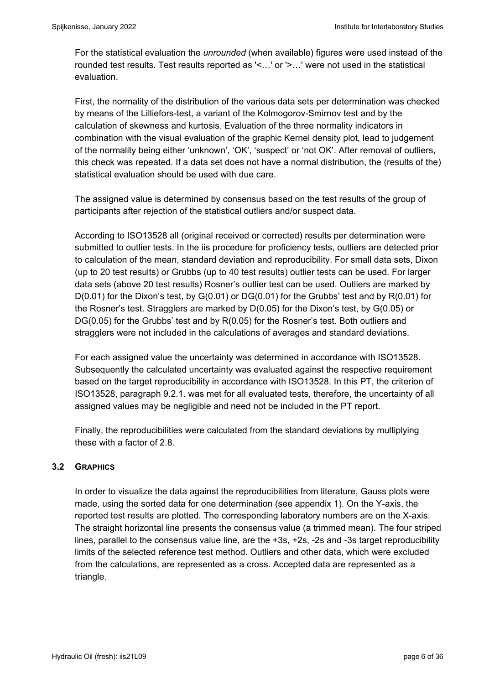For the statistical evaluation the *unrounded* (when available) figures were used instead of the rounded test results. Test results reported as '<…' or '>…' were not used in the statistical evaluation.

First, the normality of the distribution of the various data sets per determination was checked by means of the Lilliefors-test, a variant of the Kolmogorov-Smirnov test and by the calculation of skewness and kurtosis. Evaluation of the three normality indicators in combination with the visual evaluation of the graphic Kernel density plot, lead to judgement of the normality being either 'unknown', 'OK', 'suspect' or 'not OK'. After removal of outliers, this check was repeated. If a data set does not have a normal distribution, the (results of the) statistical evaluation should be used with due care.

The assigned value is determined by consensus based on the test results of the group of participants after rejection of the statistical outliers and/or suspect data.

According to ISO13528 all (original received or corrected) results per determination were submitted to outlier tests. In the iis procedure for proficiency tests, outliers are detected prior to calculation of the mean, standard deviation and reproducibility. For small data sets, Dixon (up to 20 test results) or Grubbs (up to 40 test results) outlier tests can be used. For larger data sets (above 20 test results) Rosner's outlier test can be used. Outliers are marked by D(0.01) for the Dixon's test, by G(0.01) or DG(0.01) for the Grubbs' test and by R(0.01) for the Rosner's test. Stragglers are marked by D(0.05) for the Dixon's test, by G(0.05) or DG(0.05) for the Grubbs' test and by R(0.05) for the Rosner's test. Both outliers and stragglers were not included in the calculations of averages and standard deviations.

For each assigned value the uncertainty was determined in accordance with ISO13528. Subsequently the calculated uncertainty was evaluated against the respective requirement based on the target reproducibility in accordance with ISO13528. In this PT, the criterion of ISO13528, paragraph 9.2.1. was met for all evaluated tests, therefore, the uncertainty of all assigned values may be negligible and need not be included in the PT report.

Finally, the reproducibilities were calculated from the standard deviations by multiplying these with a factor of 2.8.

## **3.2 GRAPHICS**

In order to visualize the data against the reproducibilities from literature, Gauss plots were made, using the sorted data for one determination (see appendix 1). On the Y-axis, the reported test results are plotted. The corresponding laboratory numbers are on the X-axis. The straight horizontal line presents the consensus value (a trimmed mean). The four striped lines, parallel to the consensus value line, are the +3s, +2s, -2s and -3s target reproducibility limits of the selected reference test method. Outliers and other data, which were excluded from the calculations, are represented as a cross. Accepted data are represented as a triangle.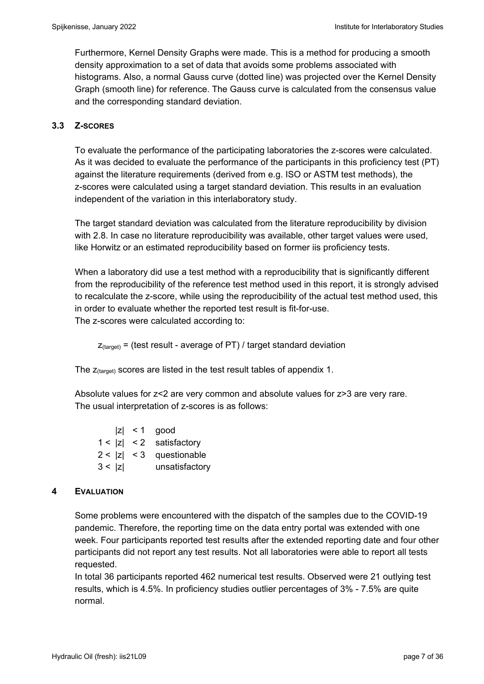Furthermore, Kernel Density Graphs were made. This is a method for producing a smooth density approximation to a set of data that avoids some problems associated with histograms. Also, a normal Gauss curve (dotted line) was projected over the Kernel Density Graph (smooth line) for reference. The Gauss curve is calculated from the consensus value and the corresponding standard deviation.

## **3.3 Z-SCORES**

To evaluate the performance of the participating laboratories the z-scores were calculated. As it was decided to evaluate the performance of the participants in this proficiency test (PT) against the literature requirements (derived from e.g. ISO or ASTM test methods), the z-scores were calculated using a target standard deviation. This results in an evaluation independent of the variation in this interlaboratory study.

The target standard deviation was calculated from the literature reproducibility by division with 2.8. In case no literature reproducibility was available, other target values were used, like Horwitz or an estimated reproducibility based on former iis proficiency tests.

When a laboratory did use a test method with a reproducibility that is significantly different from the reproducibility of the reference test method used in this report, it is strongly advised to recalculate the z-score, while using the reproducibility of the actual test method used, this in order to evaluate whether the reported test result is fit-for-use. The z-scores were calculated according to:

 $Z$ <sub>(target)</sub> = (test result - average of PT) / target standard deviation

The  $z_{\text{(target)}}$  scores are listed in the test result tables of appendix 1.

Absolute values for z<2 are very common and absolute values for z>3 are very rare. The usual interpretation of z-scores is as follows:

|        | $ z  < 1$ good             |
|--------|----------------------------|
|        | $1 <  z  < 2$ satisfactory |
|        | $2 <  z  < 3$ questionable |
| 3 <  z | unsatisfactory             |

## **4 EVALUATION**

Some problems were encountered with the dispatch of the samples due to the COVID-19 pandemic. Therefore, the reporting time on the data entry portal was extended with one week. Four participants reported test results after the extended reporting date and four other participants did not report any test results. Not all laboratories were able to report all tests requested.

In total 36 participants reported 462 numerical test results. Observed were 21 outlying test results, which is 4.5%. In proficiency studies outlier percentages of 3% - 7.5% are quite normal.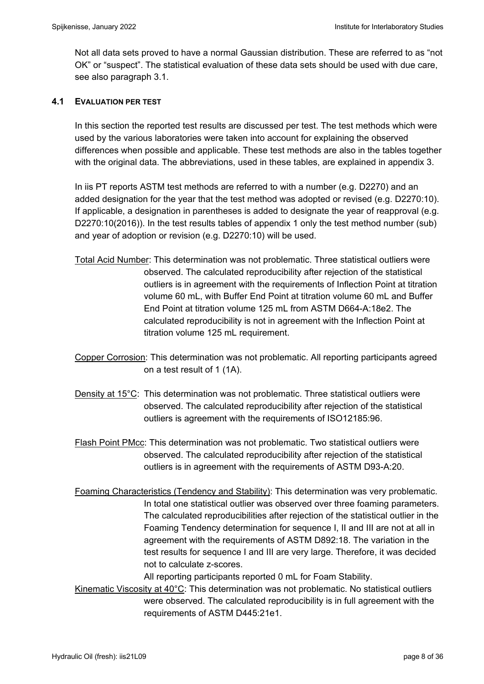Not all data sets proved to have a normal Gaussian distribution. These are referred to as "not OK" or "suspect". The statistical evaluation of these data sets should be used with due care, see also paragraph 3.1.

#### **4.1 EVALUATION PER TEST**

In this section the reported test results are discussed per test. The test methods which were used by the various laboratories were taken into account for explaining the observed differences when possible and applicable. These test methods are also in the tables together with the original data. The abbreviations, used in these tables, are explained in appendix 3.

In iis PT reports ASTM test methods are referred to with a number (e.g. D2270) and an added designation for the year that the test method was adopted or revised (e.g. D2270:10). If applicable, a designation in parentheses is added to designate the year of reapproval (e.g. D2270:10(2016)). In the test results tables of appendix 1 only the test method number (sub) and year of adoption or revision (e.g. D2270:10) will be used.

- Total Acid Number: This determination was not problematic. Three statistical outliers were observed. The calculated reproducibility after rejection of the statistical outliers is in agreement with the requirements of Inflection Point at titration volume 60 mL, with Buffer End Point at titration volume 60 mL and Buffer End Point at titration volume 125 mL from ASTM D664-A:18e2. The calculated reproducibility is not in agreement with the Inflection Point at titration volume 125 mL requirement.
- Copper Corrosion: This determination was not problematic. All reporting participants agreed on a test result of 1 (1A).
- Density at 15°C: This determination was not problematic. Three statistical outliers were observed. The calculated reproducibility after rejection of the statistical outliers is agreement with the requirements of ISO12185:96.
- Flash Point PMcc: This determination was not problematic. Two statistical outliers were observed. The calculated reproducibility after rejection of the statistical outliers is in agreement with the requirements of ASTM D93-A:20.
- Foaming Characteristics (Tendency and Stability): This determination was very problematic. In total one statistical outlier was observed over three foaming parameters. The calculated reproducibilities after rejection of the statistical outlier in the Foaming Tendency determination for sequence I, II and III are not at all in agreement with the requirements of ASTM D892:18. The variation in the test results for sequence I and III are very large. Therefore, it was decided not to calculate z-scores.

All reporting participants reported 0 mL for Foam Stability.

Kinematic Viscosity at  $40^{\circ}$ C: This determination was not problematic. No statistical outliers were observed. The calculated reproducibility is in full agreement with the requirements of ASTM D445:21e1.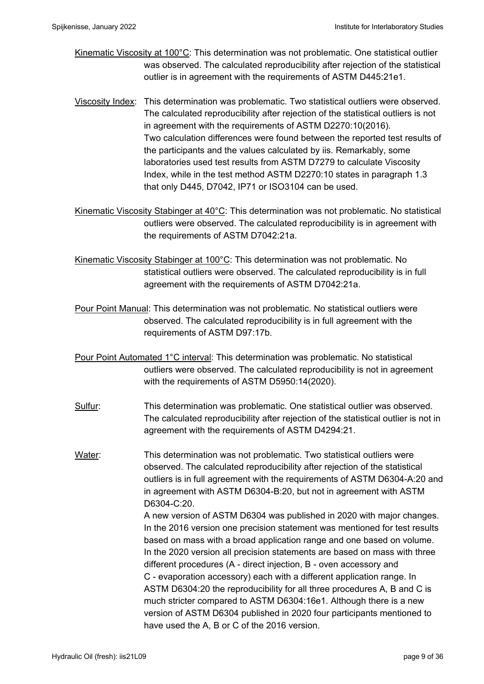- Kinematic Viscosity at 100°C: This determination was not problematic. One statistical outlier was observed. The calculated reproducibility after rejection of the statistical outlier is in agreement with the requirements of ASTM D445:21e1.
- Viscosity Index: This determination was problematic. Two statistical outliers were observed. The calculated reproducibility after rejection of the statistical outliers is not in agreement with the requirements of ASTM D2270:10(2016). Two calculation differences were found between the reported test results of the participants and the values calculated by iis. Remarkably, some laboratories used test results from ASTM D7279 to calculate Viscosity Index, while in the test method ASTM D2270:10 states in paragraph 1.3 that only D445, D7042, IP71 or ISO3104 can be used.
- Kinematic Viscosity Stabinger at 40°C: This determination was not problematic. No statistical outliers were observed. The calculated reproducibility is in agreement with the requirements of ASTM D7042:21a.

Kinematic Viscosity Stabinger at 100°C: This determination was not problematic. No statistical outliers were observed. The calculated reproducibility is in full agreement with the requirements of ASTM D7042:21a.

Pour Point Manual: This determination was not problematic. No statistical outliers were observed. The calculated reproducibility is in full agreement with the requirements of ASTM D97:17b.

- Pour Point Automated 1°C interval: This determination was problematic. No statistical outliers were observed. The calculated reproducibility is not in agreement with the requirements of ASTM D5950:14(2020).
- Sulfur: This determination was problematic. One statistical outlier was observed. The calculated reproducibility after rejection of the statistical outlier is not in agreement with the requirements of ASTM D4294:21.
- Water: This determination was not problematic. Two statistical outliers were observed. The calculated reproducibility after rejection of the statistical outliers is in full agreement with the requirements of ASTM D6304-A:20 and in agreement with ASTM D6304-B:20, but not in agreement with ASTM D6304-C:20. A new version of ASTM D6304 was published in 2020 with major changes. In the 2016 version one precision statement was mentioned for test results

based on mass with a broad application range and one based on volume. In the 2020 version all precision statements are based on mass with three different procedures (A - direct injection, B - oven accessory and C - evaporation accessory) each with a different application range. In ASTM D6304:20 the reproducibility for all three procedures A, B and C is much stricter compared to ASTM D6304:16e1. Although there is a new version of ASTM D6304 published in 2020 four participants mentioned to have used the A, B or C of the 2016 version.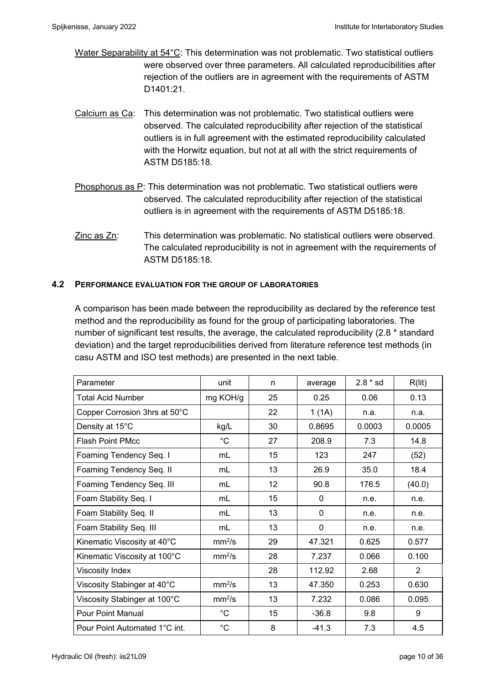- Water Separability at 54°C: This determination was not problematic. Two statistical outliers were observed over three parameters. All calculated reproducibilities after rejection of the outliers are in agreement with the requirements of ASTM D1401:21.
- Calcium as Ca: This determination was not problematic. Two statistical outliers were observed. The calculated reproducibility after rejection of the statistical outliers is in full agreement with the estimated reproducibility calculated with the Horwitz equation, but not at all with the strict requirements of ASTM D5185:18.
- Phosphorus as P: This determination was not problematic. Two statistical outliers were observed. The calculated reproducibility after rejection of the statistical outliers is in agreement with the requirements of ASTM D5185:18.
- Zinc as Zn: This determination was problematic. No statistical outliers were observed. The calculated reproducibility is not in agreement with the requirements of ASTM D5185:18.

#### **4.2 PERFORMANCE EVALUATION FOR THE GROUP OF LABORATORIES**

A comparison has been made between the reproducibility as declared by the reference test method and the reproducibility as found for the group of participating laboratories. The number of significant test results, the average, the calculated reproducibility (2.8 \* standard deviation) and the target reproducibilities derived from literature reference test methods (in casu ASTM and ISO test methods) are presented in the next table.

| Parameter                     | unit               | n  | average     | $2.8 * sd$ | R(lit)         |
|-------------------------------|--------------------|----|-------------|------------|----------------|
| Total Acid Number             | mg KOH/g           | 25 | 0.25        | 0.06       | 0.13           |
| Copper Corrosion 3hrs at 50°C |                    | 22 | 1(1A)       | n.a.       | n.a.           |
| Density at 15°C               | kg/L               | 30 | 0.8695      | 0.0003     | 0.0005         |
| <b>Flash Point PMcc</b>       | $^{\circ}C$        | 27 | 208.9       | 7.3        | 14.8           |
| Foaming Tendency Seq. I       | mL                 | 15 | 123         | 247        | (52)           |
| Foaming Tendency Seq. II      | mL                 | 13 | 26.9        | 35.0       | 18.4           |
| Foaming Tendency Seq. III     | mL                 | 12 | 90.8        | 176.5      | (40.0)         |
| Foam Stability Seq. I         | mL                 | 15 | 0           | n.e.       | n.e.           |
| Foam Stability Seq. II        | mL                 | 13 | $\mathbf 0$ | n.e.       | n.e.           |
| Foam Stability Seq. III       | mL                 | 13 | $\mathbf 0$ | n.e.       | n.e.           |
| Kinematic Viscosity at 40°C   | mm <sup>2</sup> /s | 29 | 47.321      | 0.625      | 0.577          |
| Kinematic Viscosity at 100°C  | mm <sup>2</sup> /s | 28 | 7.237       | 0.066      | 0.100          |
| Viscosity Index               |                    | 28 | 112.92      | 2.68       | $\overline{2}$ |
| Viscosity Stabinger at 40°C   | mm <sup>2</sup> /s | 13 | 47.350      | 0.253      | 0.630          |
| Viscosity Stabinger at 100°C  | mm <sup>2</sup> /s | 13 | 7.232       | 0.086      | 0.095          |
| <b>Pour Point Manual</b>      | $^{\circ}C$        | 15 | $-36.8$     | 9.8        | 9              |
| Pour Point Automated 1°C int. | $^{\circ}C$        | 8  | $-41.3$     | 7.3        | 4.5            |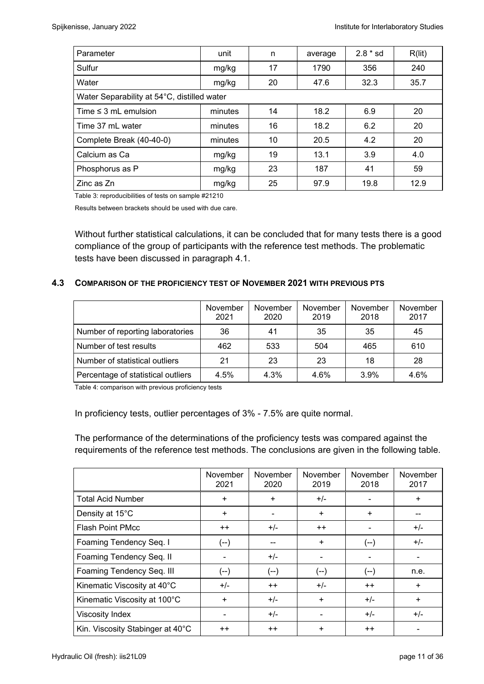| Parameter                                   | unit    | n          | average | $2.8 * sd$ | R(lit) |
|---------------------------------------------|---------|------------|---------|------------|--------|
| Sulfur                                      | mg/kg   | 17         | 1790    | 356        | 240    |
| Water                                       | mg/kg   | 20         | 47.6    | 32.3       | 35.7   |
| Water Separability at 54°C, distilled water |         |            |         |            |        |
| Time $\leq 3$ mL emulsion                   | minutes | 14<br>18.2 |         | 6.9        | 20     |
| Time 37 mL water<br>minutes                 |         | 16         | 18.2    | 6.2        | 20     |
| Complete Break (40-40-0)                    | minutes | 10         | 20.5    | 4.2        | 20     |
| Calcium as Ca                               | mg/kg   | 19         | 13.1    | 3.9        | 4.0    |
| Phosphorus as P<br>mg/kg                    |         | 23         | 187     | 41         | 59     |
| Zinc as Zn                                  | mg/kg   | 25         | 97.9    | 19.8       | 12.9   |

Table 3: reproducibilities of tests on sample #21210

Results between brackets should be used with due care.

Without further statistical calculations, it can be concluded that for many tests there is a good compliance of the group of participants with the reference test methods. The problematic tests have been discussed in paragraph 4.1.

#### **4.3 COMPARISON OF THE PROFICIENCY TEST OF NOVEMBER 2021 WITH PREVIOUS PTS**

|                                    | November<br>2021 | November<br>2020 | November<br>2019 | November<br>2018 | November<br>2017 |
|------------------------------------|------------------|------------------|------------------|------------------|------------------|
| Number of reporting laboratories   | 36               | 41               | 35               | 35               | 45               |
| Number of test results             | 462              | 533              | 504              | 465              | 610              |
| Number of statistical outliers     | 21               | 23               | 23               | 18               | 28               |
| Percentage of statistical outliers | 4.5%             | 4.3%             | 4.6%             | 3.9%             | 4.6%             |

Table 4: comparison with previous proficiency tests

In proficiency tests, outlier percentages of 3% - 7.5% are quite normal.

The performance of the determinations of the proficiency tests was compared against the requirements of the reference test methods. The conclusions are given in the following table.

|                                  | November<br>2021 | November<br>2020 | November<br>2019 | November<br>2018 | November<br>2017 |
|----------------------------------|------------------|------------------|------------------|------------------|------------------|
| <b>Total Acid Number</b>         | $\ddot{}$        | $\ddot{}$        | $+/-$            |                  | $\div$           |
| Density at 15°C                  | $\ddot{}$        | $\ddot{}$        |                  | +                |                  |
| <b>Flash Point PMcc</b>          | $++$             | $+/-$            | $++$             |                  | $+/-$            |
| Foaming Tendency Seq. I          | (--)             | --               | $+$              | $(--)$           | $+/-$            |
| Foaming Tendency Seq. II         |                  | $+/-$            |                  |                  |                  |
| Foaming Tendency Seq. III        | (--)             | (--)             | $(--)$           | $(--)$           | n.e.             |
| Kinematic Viscosity at 40°C      | $+/-$            | $++$             | $+/-$            | $++$             | $\ddot{}$        |
| Kinematic Viscosity at 100°C     | $\ddot{}$        | $+/-$            | $\ddot{}$        | $+/-$            | $\ddot{}$        |
| <b>Viscosity Index</b>           |                  | $+/-$            |                  | $+/-$            | $+/-$            |
| Kin. Viscosity Stabinger at 40°C | $++$             | $++$             | $\ddot{}$        | $++$             |                  |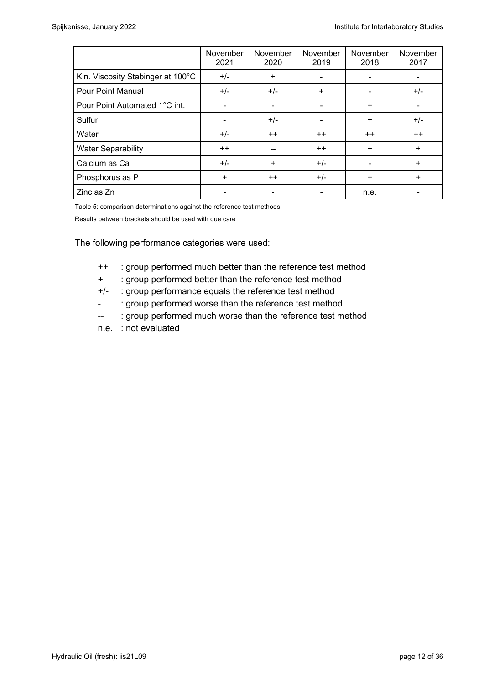|                                   | November<br>2021 | November<br>2020 | November<br>2019 | November<br>2018 | November<br>2017 |
|-----------------------------------|------------------|------------------|------------------|------------------|------------------|
| Kin. Viscosity Stabinger at 100°C | $+/-$            | $\ddot{}$        |                  |                  |                  |
| <b>Pour Point Manual</b>          | $+/-$            | $+/-$            | $\ddot{}$        |                  | $+/-$            |
| Pour Point Automated 1°C int.     | $\blacksquare$   |                  |                  | $\ddot{}$        |                  |
| Sulfur                            |                  | $+/-$            |                  | $\ddot{}$        | $+/-$            |
| Water                             | $+/-$            | $++$             | $++$             | $++$             | $++$             |
| <b>Water Separability</b>         | $++$             | --               | $++$             | $\ddot{}$        | $\ddot{}$        |
| Calcium as Ca                     | $+/-$            | $+$              | $+/-$            |                  | $\ddot{}$        |
| Phosphorus as P                   | $\ddot{}$        | $++$             | $+/-$            | $\ddot{}$        | $\ddot{}$        |
| Zinc as Zn                        |                  |                  |                  | n.e.             |                  |

Table 5: comparison determinations against the reference test methods

Results between brackets should be used with due care

The following performance categories were used:

- ++ : group performed much better than the reference test method
- + : group performed better than the reference test method
- +/- : group performance equals the reference test method
- : group performed worse than the reference test method
- -- : group performed much worse than the reference test method
- n.e. : not evaluated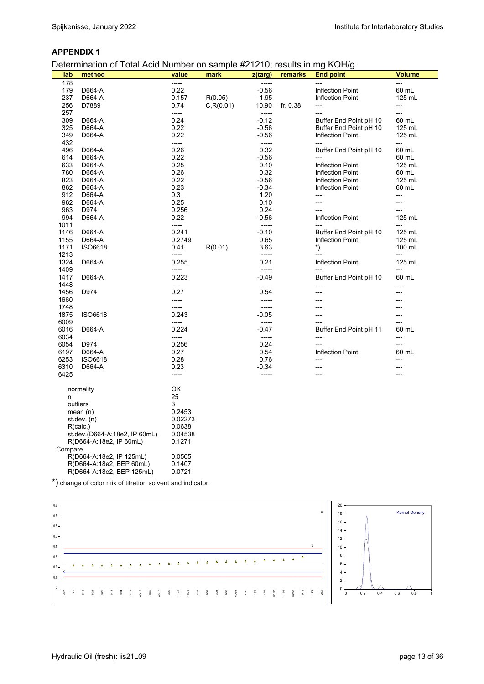#### **APPENDIX 1**

Determination of Total Acid Number on sample #21210; results in mg KOH/g

| lab     | method                        | value   | mark       | z(targ) | remarks    | <b>End point</b>        | <b>Volume</b> |
|---------|-------------------------------|---------|------------|---------|------------|-------------------------|---------------|
| 178     |                               | -----   |            |         |            |                         |               |
| 179     | D664-A                        | 0.22    |            | $-0.56$ |            | <b>Inflection Point</b> | 60 mL         |
| 237     | D664-A                        | 0.157   | R(0.05)    | $-1.95$ |            | Inflection Point        | 125 mL        |
| 256     | D7889                         | 0.74    | C, R(0.01) | 10.90   | fr. $0.38$ | ---                     | ---           |
| 257     |                               | -----   |            | -----   |            | ---                     | ---           |
| 309     | D664-A                        | 0.24    |            | $-0.12$ |            | Buffer End Point pH 10  | 60 mL         |
| 325     | D664-A                        | 0.22    |            | $-0.56$ |            | Buffer End Point pH 10  | 125 mL        |
| 349     | D664-A                        | 0.22    |            | $-0.56$ |            | Inflection Point        | 125 mL        |
| 432     |                               | -----   |            | -----   |            |                         | ---           |
| 496     | D664-A                        | 0.26    |            | 0.32    |            | Buffer End Point pH 10  | 60 mL         |
| 614     | D664-A                        | 0.22    |            | $-0.56$ |            | ---                     | 60 mL         |
|         |                               |         |            |         |            |                         | 125 mL        |
| 633     | D664-A                        | 0.25    |            | 0.10    |            | <b>Inflection Point</b> |               |
| 780     | D664-A                        | 0.26    |            | 0.32    |            | <b>Inflection Point</b> | 60 mL         |
| 823     | D664-A                        | 0.22    |            | $-0.56$ |            | <b>Inflection Point</b> | 125 mL        |
| 862     | D664-A                        | 0.23    |            | $-0.34$ |            | <b>Inflection Point</b> | 60 mL         |
| 912     | D664-A                        | 0.3     |            | 1.20    |            | ---                     | ---           |
| 962     | D664-A                        | 0.25    |            | 0.10    |            | ---                     | ---           |
| 963     | D974                          | 0.256   |            | 0.24    |            |                         | ---           |
| 994     | D664-A                        | 0.22    |            | $-0.56$ |            | <b>Inflection Point</b> | 125 mL        |
| 1011    |                               | -----   |            | -----   |            |                         | ---           |
| 1146    | D664-A                        | 0.241   |            | $-0.10$ |            | Buffer End Point pH 10  | 125 mL        |
| 1155    | D664-A                        | 0.2749  |            | 0.65    |            | <b>Inflection Point</b> | 125 mL        |
| 1171    | <b>ISO6618</b>                | 0.41    | R(0.01)    | 3.63    |            | $^*)$                   | 100 mL        |
| 1213    |                               | -----   |            | -----   |            | ---                     | ---           |
| 1324    | D664-A                        | 0.255   |            | 0.21    |            | <b>Inflection Point</b> | 125 mL        |
| 1409    |                               | -----   |            | -----   |            | ---                     | ---           |
| 1417    | D664-A                        | 0.223   |            | $-0.49$ |            | Buffer End Point pH 10  | 60 mL         |
| 1448    |                               | -----   |            | -----   |            |                         |               |
|         |                               |         |            |         |            | $---$                   | ---           |
| 1456    | D974                          | 0.27    |            | 0.54    |            |                         | ---           |
| 1660    |                               | -----   |            | -----   |            |                         |               |
| 1748    |                               | -----   |            | -----   |            |                         |               |
| 1875    | <b>ISO6618</b>                | 0.243   |            | $-0.05$ |            | ---                     | ---           |
| 6009    |                               | -----   |            | -----   |            | $---$                   |               |
| 6016    | D664-A                        | 0.224   |            | $-0.47$ |            | Buffer End Point pH 11  | 60 mL         |
| 6034    |                               | -----   |            | -----   |            | ---                     | ---           |
| 6054    | D974                          | 0.256   |            | 0.24    |            | ---                     | ---           |
| 6197    | D664-A                        | 0.27    |            | 0.54    |            | <b>Inflection Point</b> | 60 mL         |
| 6253    | ISO6618                       | 0.28    |            | 0.76    |            | ---                     | ---           |
| 6310    | D664-A                        | 0.23    |            | $-0.34$ |            | ---                     | ---           |
| 6425    |                               | -----   |            | -----   |            | ---                     |               |
|         |                               |         |            |         |            |                         |               |
|         | normality                     | OK      |            |         |            |                         |               |
| n       |                               | 25      |            |         |            |                         |               |
|         | outliers                      | 3       |            |         |            |                         |               |
|         | mean $(n)$                    | 0.2453  |            |         |            |                         |               |
|         | st.dev. $(n)$                 | 0.02273 |            |         |            |                         |               |
|         | R(calc.)                      | 0.0638  |            |         |            |                         |               |
|         | st.dev.(D664-A:18e2, IP 60mL) | 0.04538 |            |         |            |                         |               |
|         | R(D664-A:18e2, IP 60mL)       | 0.1271  |            |         |            |                         |               |
|         |                               |         |            |         |            |                         |               |
| Compare |                               |         |            |         |            |                         |               |
|         | R(D664-A:18e2, IP 125mL)      | 0.0505  |            |         |            |                         |               |
|         | R(D664-A:18e2, BEP 60mL)      | 0.1407  |            |         |            |                         |               |
|         | R(D664-A:18e2, BEP 125mL)     | 0.0721  |            |         |            |                         |               |

\*) change of color mix of titration solvent and indicator

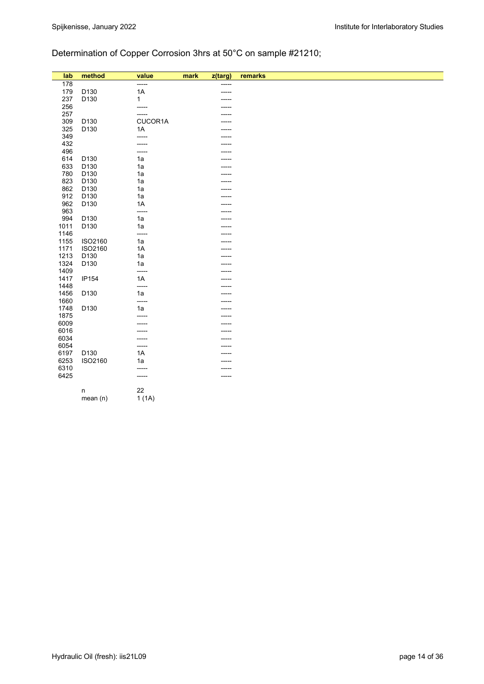# Determination of Copper Corrosion 3hrs at 50°C on sample #21210;

| lab  | method           | value       | mark | z(targ) | remarks |
|------|------------------|-------------|------|---------|---------|
| 178  |                  | -----       |      | -----   |         |
| 179  | D130             | 1A          |      | -----   |         |
| 237  | D130             | $\mathbf 1$ |      |         |         |
| 256  |                  | -----       |      |         |         |
| 257  |                  | -----       |      |         |         |
| 309  | D <sub>130</sub> | CUCOR1A     |      |         |         |
| 325  | D130             | 1A          |      |         |         |
| 349  |                  | -----       |      |         |         |
| 432  |                  | -----       |      |         |         |
| 496  |                  | -----       |      |         |         |
| 614  | D130             | 1a          |      |         |         |
| 633  | D <sub>130</sub> | 1a          |      |         |         |
| 780  | D130             | 1a          |      |         |         |
| 823  | D <sub>130</sub> | 1a          |      |         |         |
| 862  | D <sub>130</sub> | 1a          |      |         |         |
| 912  | D130             | 1a          |      |         |         |
| 962  | D130             | 1A          |      |         |         |
| 963  |                  | -----       |      |         |         |
| 994  | D130             | 1a          |      |         |         |
| 1011 | D130             | 1a          |      |         |         |
| 1146 |                  | -----       |      |         |         |
| 1155 | ISO2160          | 1a          |      |         |         |
| 1171 | ISO2160          | 1A          |      |         |         |
| 1213 | D <sub>130</sub> | 1a          |      |         |         |
| 1324 | D130             | 1a          |      |         |         |
| 1409 |                  | -----       |      |         |         |
| 1417 | IP154            | 1A          |      |         |         |
| 1448 |                  | -----       |      |         |         |
| 1456 | D130             | 1a          |      |         |         |
| 1660 |                  | -----       |      |         |         |
| 1748 | D130             | 1a          |      |         |         |
| 1875 |                  |             |      |         |         |
| 6009 |                  |             |      |         |         |
| 6016 |                  |             |      |         |         |
| 6034 |                  |             |      |         |         |
| 6054 |                  | -----       |      |         |         |
| 6197 | D130             | 1A          |      | -----   |         |
| 6253 | ISO2160          | 1a          |      |         |         |
| 6310 |                  | -----       |      |         |         |
| 6425 |                  | -----       |      | -----   |         |
|      |                  |             |      |         |         |
|      | n                | 22          |      |         |         |
|      | mean(n)          | 1(1A)       |      |         |         |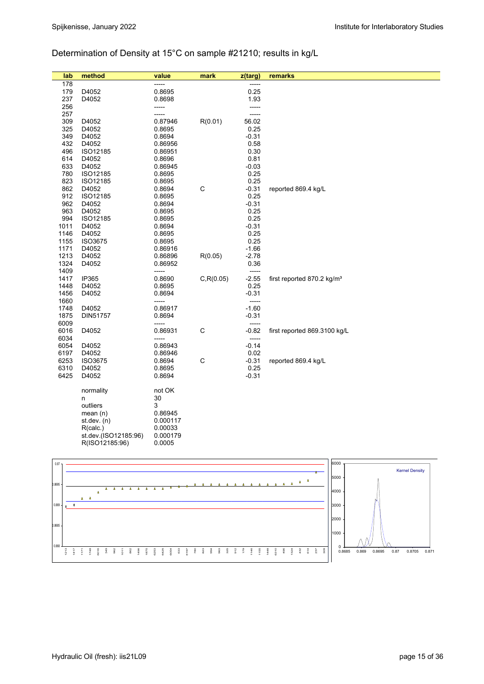## Determination of Density at 15°C on sample #21210; results in kg/L

| lab          | method               | value            | mark        | z(targ)       | remarks                                |
|--------------|----------------------|------------------|-------------|---------------|----------------------------------------|
| 178          |                      | -----            |             | -----         |                                        |
| 179          | D4052                | 0.8695           |             | 0.25          |                                        |
| 237          | D4052                | 0.8698           |             | 1.93          |                                        |
| 256          |                      | -----            |             | -----         |                                        |
| 257          |                      | -----            |             | -----         |                                        |
| 309          | D4052                | 0.87946          | R(0.01)     | 56.02         |                                        |
| 325          | D4052                | 0.8695           |             | 0.25          |                                        |
| 349          | D4052                | 0.8694           |             | $-0.31$       |                                        |
| 432          | D4052                | 0.86956          |             | 0.58          |                                        |
| 496          | ISO12185             | 0.86951          |             | 0.30          |                                        |
| 614          | D4052                | 0.8696           |             | 0.81          |                                        |
| 633          | D4052                | 0.86945          |             | $-0.03$       |                                        |
| 780          | ISO12185             | 0.8695           |             | 0.25          |                                        |
| 823          | ISO12185             | 0.8695           |             | 0.25          |                                        |
| 862          | D4052                | 0.8694           | $\mathsf C$ | $-0.31$       | reported 869.4 kg/L                    |
| 912          | ISO12185             | 0.8695           |             | 0.25          |                                        |
| 962          | D4052                | 0.8694           |             | $-0.31$       |                                        |
| 963          | D4052                | 0.8695           |             | 0.25          |                                        |
| 994          | ISO12185             | 0.8695           |             | 0.25          |                                        |
| 1011         | D4052                | 0.8694           |             | $-0.31$       |                                        |
| 1146         | D4052                | 0.8695           |             | 0.25          |                                        |
| 1155         | ISO3675              | 0.8695           |             | 0.25          |                                        |
| 1171         | D4052                | 0.86916          |             | $-1.66$       |                                        |
| 1213         | D4052                | 0.86896          | R(0.05)     | $-2.78$       |                                        |
| 1324<br>1409 | D4052                | 0.86952<br>----- |             | 0.36<br>----- |                                        |
| 1417         | IP365                | 0.8690           | C, R(0.05)  | $-2.55$       | first reported 870.2 kg/m <sup>3</sup> |
| 1448         | D4052                | 0.8695           |             | 0.25          |                                        |
| 1456         | D4052                | 0.8694           |             | $-0.31$       |                                        |
| 1660         |                      | -----            |             | -----         |                                        |
| 1748         | D4052                | 0.86917          |             | $-1.60$       |                                        |
| 1875         | DIN51757             | 0.8694           |             | $-0.31$       |                                        |
| 6009         |                      | -----            |             | -----         |                                        |
| 6016         | D4052                | 0.86931          | $\mathsf C$ | $-0.82$       | first reported 869.3100 kg/L           |
| 6034         |                      | -----            |             | -----         |                                        |
| 6054         | D4052                | 0.86943          |             | $-0.14$       |                                        |
| 6197         | D4052                | 0.86946          |             | 0.02          |                                        |
| 6253         | ISO3675              | 0.8694           | $\mathsf C$ | $-0.31$       | reported 869.4 kg/L                    |
| 6310         | D4052                | 0.8695           |             | 0.25          |                                        |
| 6425         | D4052                | 0.8694           |             | $-0.31$       |                                        |
|              |                      |                  |             |               |                                        |
|              | normality            | not OK           |             |               |                                        |
|              | n                    | 30               |             |               |                                        |
|              | outliers             | 3                |             |               |                                        |
|              | mean $(n)$           | 0.86945          |             |               |                                        |
|              | st. dev. (n)         | 0.000117         |             |               |                                        |
|              | R(calc.)             | 0.00033          |             |               |                                        |
|              | st.dev.(ISO12185:96) | 0.000179         |             |               |                                        |
|              | R(ISO12185:96)       | 0.0005           |             |               |                                        |

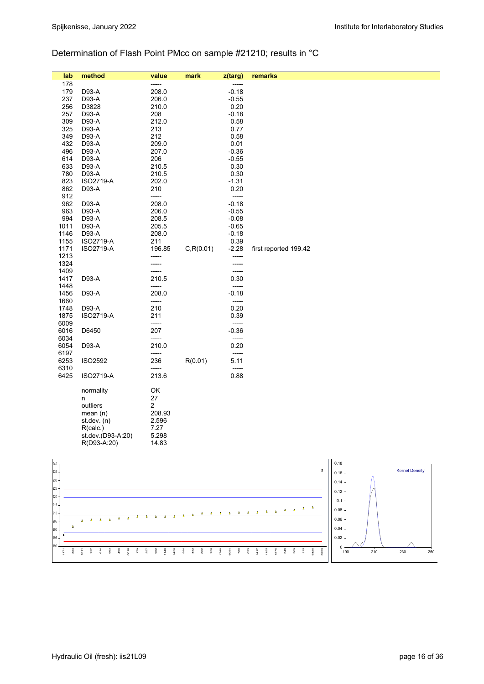## Determination of Flash Point PMcc on sample #21210; results in °C

| lab          | method            | value          | mark       | z(targ)       | remarks               |
|--------------|-------------------|----------------|------------|---------------|-----------------------|
| 178          |                   | -----          |            | -----         |                       |
| 179          | D93-A             | 208.0          |            | $-0.18$       |                       |
| 237          | D93-A             | 206.0          |            | $-0.55$       |                       |
| 256          | D3828             | 210.0          |            | 0.20          |                       |
| 257          | D93-A             | 208            |            | $-0.18$       |                       |
| 309          | D93-A             | 212.0          |            | 0.58          |                       |
| 325          | D93-A             | 213            |            | 0.77          |                       |
| 349          | D93-A             | 212            |            | 0.58          |                       |
| 432          | D93-A             | 209.0          |            | 0.01          |                       |
| 496          | D93-A             | 207.0          |            | $-0.36$       |                       |
| 614          | D93-A             | 206            |            | $-0.55$       |                       |
| 633          | D93-A             | 210.5          |            | 0.30          |                       |
| 780          | D93-A             | 210.5          |            | 0.30          |                       |
| 823          | <b>ISO2719-A</b>  | 202.0          |            | $-1.31$       |                       |
| 862          | D93-A             | 210            |            | 0.20          |                       |
| 912          |                   | -----          |            | -----         |                       |
| 962          | D93-A             | 208.0          |            | $-0.18$       |                       |
| 963          | D93-A             | 206.0          |            | $-0.55$       |                       |
| 994          | D93-A             | 208.5          |            | $-0.08$       |                       |
| 1011         | D93-A             | 205.5          |            | $-0.65$       |                       |
| 1146         | D93-A             | 208.0          |            | $-0.18$       |                       |
| 1155         | ISO2719-A         | 211            |            | 0.39          |                       |
| 1171         | ISO2719-A         | 196.85         | C, R(0.01) | $-2.28$       | first reported 199.42 |
| 1213         |                   | -----          |            | -----         |                       |
| 1324         |                   | -----          |            | -----         |                       |
| 1409<br>1417 |                   | -----          |            | -----         |                       |
|              | D93-A             | 210.5<br>----- |            | 0.30<br>----- |                       |
| 1448<br>1456 | D93-A             | 208.0          |            | $-0.18$       |                       |
| 1660         |                   | -----          |            | -----         |                       |
| 1748         | D93-A             | 210            |            | 0.20          |                       |
| 1875         | ISO2719-A         | 211            |            | 0.39          |                       |
| 6009         |                   | -----          |            | -----         |                       |
| 6016         | D6450             | 207            |            | $-0.36$       |                       |
| 6034         |                   | -----          |            | -----         |                       |
| 6054         | D93-A             | 210.0          |            | 0.20          |                       |
| 6197         |                   | -----          |            | -----         |                       |
| 6253         | <b>ISO2592</b>    | 236            | R(0.01)    | 5.11          |                       |
| 6310         |                   | -----          |            | -----         |                       |
| 6425         | ISO2719-A         | 213.6          |            | 0.88          |                       |
|              |                   |                |            |               |                       |
|              | normality         | OK             |            |               |                       |
|              | n                 | 27             |            |               |                       |
|              | outliers          | 2              |            |               |                       |
|              | mean $(n)$        | 208.93         |            |               |                       |
|              | st.dev. (n)       | 2.596          |            |               |                       |
|              | R(calc.)          | 7.27           |            |               |                       |
|              | st.dev.(D93-A:20) | 5.298          |            |               |                       |
|              | R(D93-A:20)       | 14.83          |            |               |                       |
|              |                   |                |            |               |                       |

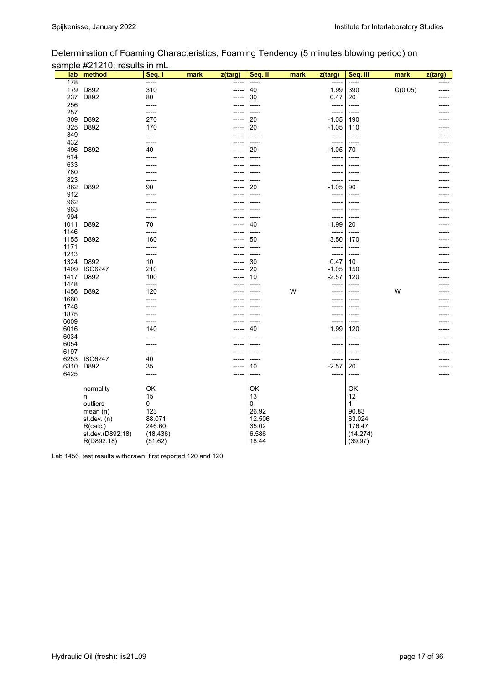| Determination of Foaming Characteristics, Foaming Tendency (5 minutes blowing period) on |  |  |  |
|------------------------------------------------------------------------------------------|--|--|--|
| sample #21210; results in mL                                                             |  |  |  |

| 178<br>-----<br>-----<br>-----<br>-----<br>310<br>179<br>D892<br>390<br>G(0.05)<br>40<br>1.99<br>$--- -$<br>237<br>D892<br>80<br>30<br>0.47<br>20<br>$- - - - -$ |  |
|------------------------------------------------------------------------------------------------------------------------------------------------------------------|--|
|                                                                                                                                                                  |  |
|                                                                                                                                                                  |  |
|                                                                                                                                                                  |  |
| 256<br>-----<br>-----<br>-----<br>$- - - - -$<br>----                                                                                                            |  |
| 257<br>-----<br>-----<br>-----                                                                                                                                   |  |
| 309<br>D892<br>270<br>20<br>$-1.05$<br>190<br>-----                                                                                                              |  |
| D892<br>20<br>325<br>170<br>$-1.05$<br>110<br>-----                                                                                                              |  |
| 349<br>-----<br>-----<br>-----<br>-----<br>-----                                                                                                                 |  |
| 432<br>-----<br>-----<br>-----<br>496<br>D892<br>20<br>$-1.05$<br>70<br>40                                                                                       |  |
| -----<br>614<br>-----<br>------<br>-----<br>-----                                                                                                                |  |
| 633<br>-----<br>-----<br>-----<br>-----                                                                                                                          |  |
| 780<br>-----<br>-----<br>-----                                                                                                                                   |  |
| 823<br>-----<br>-----<br>-----                                                                                                                                   |  |
| 862<br>D892<br>90<br>20<br>$-1.05$<br>90<br>-----                                                                                                                |  |
| 912<br>-----<br>-----<br>-----                                                                                                                                   |  |
| 962<br>-----<br>-----                                                                                                                                            |  |
| 963                                                                                                                                                              |  |
| 994<br>-----<br>-----                                                                                                                                            |  |
| 1011<br>D892<br>70<br>40<br>1.99<br>20                                                                                                                           |  |
| 1146<br>-----<br>-----<br>-----<br>-----<br>-----                                                                                                                |  |
| D892<br>160<br>3.50<br>1155<br>50<br>170<br>-----                                                                                                                |  |
| 1171<br>-----<br>-----<br>-----<br>-----<br>----                                                                                                                 |  |
| 1213<br>-----<br>-----<br>-----<br>-----                                                                                                                         |  |
| 1324<br>D892<br>10<br>30<br>0.47<br>10<br>-----                                                                                                                  |  |
| 1409<br><b>ISO6247</b><br>210<br>20<br>$-1.05$<br>150<br>-----                                                                                                   |  |
| 1417<br>D892<br>100<br>10<br>$-2.57$<br>120<br>-----                                                                                                             |  |
| 1448<br>-----<br>-----<br>-----                                                                                                                                  |  |
| W<br>1456<br>D892<br>120<br>W<br>-----<br>-----                                                                                                                  |  |
| 1660<br>-----<br>-----<br>-----                                                                                                                                  |  |
| 1748<br>-----<br>-----                                                                                                                                           |  |
| 1875<br>-----<br>-----<br>-----<br>-----                                                                                                                         |  |
| 6009<br>-----<br>-----<br>$- - - - -$                                                                                                                            |  |
| 6016<br>40<br>140<br>1.99<br>120<br>-----                                                                                                                        |  |
| 6034<br>-----<br>-----<br>-----<br>6054<br>----<br>-----<br>-----<br>-----                                                                                       |  |
| 6197<br>-----<br>-----<br>-----                                                                                                                                  |  |
| -----<br>6253<br><b>ISO6247</b><br>40<br>-----<br>-----<br>-----                                                                                                 |  |
| 6310<br>$-2.57$<br>D892<br>35<br>10<br>20                                                                                                                        |  |
| 6425<br>-----<br>-----<br>-----<br>-----<br>-----                                                                                                                |  |
|                                                                                                                                                                  |  |
| normality<br>OK<br>OK<br>ОΚ                                                                                                                                      |  |
| 13<br>12<br>15<br>n                                                                                                                                              |  |
| outliers<br>0<br>0<br>1                                                                                                                                          |  |
| 26.92<br>90.83<br>123<br>mean (n)                                                                                                                                |  |
| 12.506<br>88.071<br>63.024<br>st.dev. (n)                                                                                                                        |  |
| 246.60<br>35.02<br>176.47<br>R(calc.)                                                                                                                            |  |
| st.dev.(D892:18)<br>6.586<br>(14.274)<br>(18.436)                                                                                                                |  |
| 18.44<br>R(D892:18)<br>(51.62)<br>(39.97)                                                                                                                        |  |

Lab 1456 test results withdrawn, first reported 120 and 120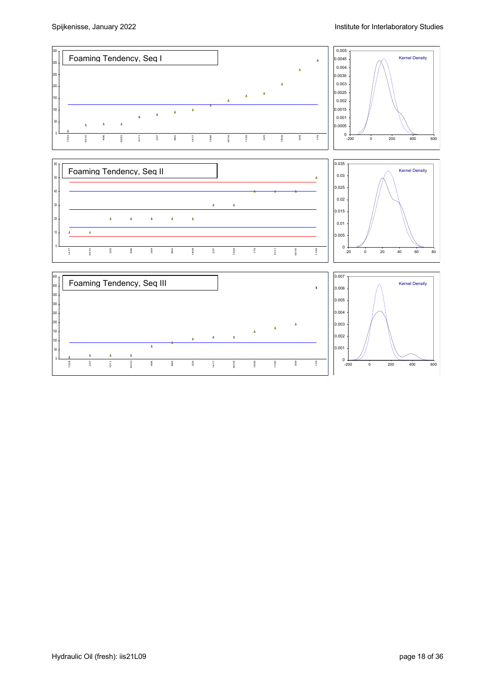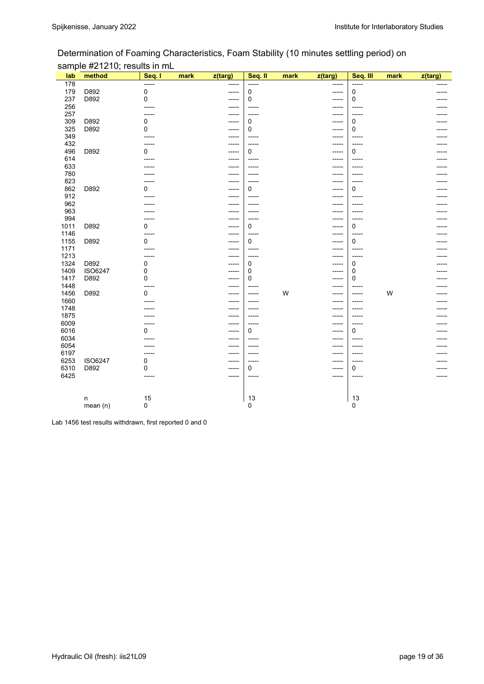## Determination of Foaming Characteristics, Foam Stability (10 minutes settling period) on sample #21210; results in mL

| lab  | method         | Seq. I      | mark | z(targ) | Seq. II     | mark | z(targ) | Seq. III | mark | z(targ) |
|------|----------------|-------------|------|---------|-------------|------|---------|----------|------|---------|
| 178  |                | -----       |      |         |             |      | -----   | -----    |      |         |
| 179  | D892           | 0           |      | -----   | 0           |      | -----   | 0        |      |         |
| 237  | D892           | 0           |      | -----   | 0           |      | -----   | 0        |      |         |
| 256  |                |             |      | -----   | -----       |      | -----   | -----    |      |         |
| 257  |                |             |      |         | $-----$     |      | -----   | -----    |      |         |
| 309  | D892           | 0           |      | -----   | 0           |      | -----   | 0        |      |         |
| 325  | D892           | 0           |      | -----   | 0           |      | -----   | 0        |      |         |
| 349  |                |             |      | -----   | $--- -$     |      | -----   | -----    |      |         |
| 432  |                |             |      | -----   | -----       |      | -----   | -----    |      |         |
| 496  | D892           | 0           |      | -----   | $\mathbf 0$ |      | -----   | 0        |      |         |
| 614  |                |             |      | -----   | -----       |      | -----   | -----    |      |         |
| 633  |                |             |      | -----   | -----       |      | -----   | -----    |      |         |
| 780  |                |             |      | -----   | -----       |      | -----   | -----    |      |         |
| 823  |                |             |      |         | $---$       |      | -----   | -----    |      |         |
| 862  | D892           | 0           |      | -----   | $\mathbf 0$ |      | -----   | 0        |      |         |
| 912  |                |             |      |         | -----       |      | -----   | -----    |      |         |
| 962  |                |             |      | -----   | $---$       |      | -----   | -----    |      |         |
| 963  |                |             |      | -----   | -----       |      | -----   | -----    |      |         |
| 994  |                |             |      |         | $--- -$     |      | -----   | -----    |      |         |
| 1011 | D892           | 0           |      | -----   | 0           |      | -----   | 0        |      |         |
| 1146 |                |             |      |         | -----       |      | -----   | -----    |      |         |
| 1155 | D892           | 0           |      | -----   | $\mathbf 0$ |      | -----   | 0        |      |         |
| 1171 |                |             |      | -----   | -----       |      | -----   | -----    |      |         |
| 1213 |                |             |      |         | $---$       |      | -----   |          |      |         |
| 1324 | D892           | 0           |      |         | 0           |      | -----   | 0        |      |         |
| 1409 | <b>ISO6247</b> | 0           |      |         | 0           |      | -----   | 0        |      |         |
| 1417 | D892           | 0           |      | -----   | 0           |      | -----   | 0        |      |         |
| 1448 |                |             |      | -----   | -----       |      | -----   | -----    |      |         |
| 1456 | D892           | 0           |      | -----   | $--- -$     | W    | -----   | -----    | W    |         |
| 1660 |                |             |      | -----   | -----       |      | -----   | -----    |      |         |
| 1748 |                |             |      |         | -----       |      | -----   | -----    |      |         |
| 1875 |                |             |      | -----   | $--- -$     |      | -----   | -----    |      |         |
| 6009 |                |             |      | -----   | -----       |      | -----   | -----    |      |         |
| 6016 |                | 0           |      | -----   | 0           |      | -----   | 0        |      |         |
| 6034 |                |             |      | -----   |             |      | -----   |          |      |         |
| 6054 |                |             |      |         |             |      | -----   | -----    |      |         |
| 6197 |                |             |      | -----   | $- - - - -$ |      | -----   | -----    |      |         |
| 6253 | <b>ISO6247</b> | 0           |      |         |             |      | -----   |          |      |         |
| 6310 | D892           | 0           |      | -----   | $\mathbf 0$ |      | -----   | 0        |      |         |
| 6425 |                | -----       |      | -----   | -----       |      | -----   | -----    |      |         |
|      |                |             |      |         |             |      |         |          |      |         |
|      | n              | 15          |      |         | 13          |      |         | 13       |      |         |
|      | mean(n)        | $\mathbf 0$ |      |         | 0           |      |         | 0        |      |         |

Lab 1456 test results withdrawn, first reported 0 and 0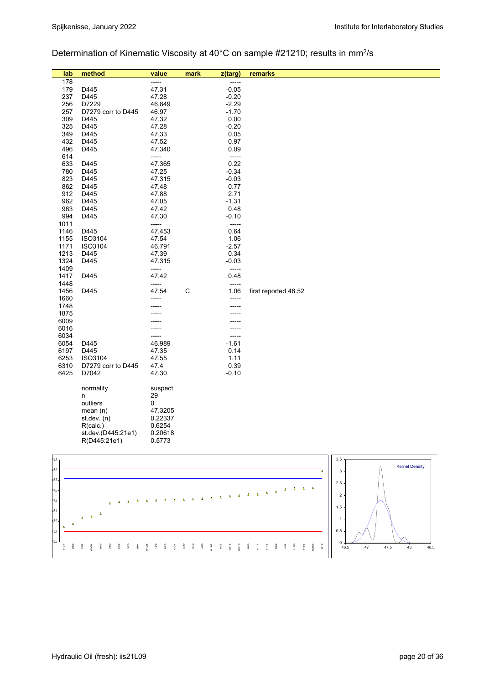## Determination of Kinematic Viscosity at 40°C on sample #21210; results in mm<sup>2</sup>/s

| lab          | method             | value   | mark        | z(targ)      | remarks              |
|--------------|--------------------|---------|-------------|--------------|----------------------|
| 178          |                    | -----   |             | ------       |                      |
| 179          | D445               | 47.31   |             | $-0.05$      |                      |
| 237          | D445               | 47.28   |             | $-0.20$      |                      |
| 256          | D7229              | 46.849  |             | $-2.29$      |                      |
| 257          | D7279 corr to D445 | 46.97   |             | $-1.70$      |                      |
| 309          | D445               | 47.32   |             | 0.00         |                      |
| 325          | D445               | 47.28   |             | $-0.20$      |                      |
| 349          | D445               | 47.33   |             | 0.05         |                      |
| 432          | D445               | 47.52   |             | 0.97         |                      |
| 496          | D445               | 47.340  |             | 0.09         |                      |
| 614          |                    | -----   |             | -----        |                      |
| 633          | D445               | 47.365  |             | 0.22         |                      |
| 780          | D445               | 47.25   |             | $-0.34$      |                      |
| 823          | D445               | 47.315  |             | $-0.03$      |                      |
| 862          | D445               | 47.48   |             | 0.77         |                      |
| 912          | D445               | 47.88   |             | 2.71         |                      |
| 962          | D445               | 47.05   |             | $-1.31$      |                      |
| 963          | D445               | 47.42   |             | 0.48         |                      |
| 994          | D445               | 47.30   |             | $-0.10$      |                      |
| 1011         |                    | -----   |             | -----        |                      |
| 1146         | D445               | 47.453  |             | 0.64         |                      |
| 1155         | ISO3104            | 47.54   |             | 1.06         |                      |
| 1171         | ISO3104            | 46.791  |             | $-2.57$      |                      |
| 1213         | D445               | 47.39   |             | 0.34         |                      |
| 1324         | D445               | 47.315  |             | $-0.03$      |                      |
| 1409         |                    | -----   |             | -----        |                      |
| 1417         | D445               | 47.42   |             | 0.48         |                      |
| 1448         |                    | -----   |             | -----        |                      |
| 1456         | D445               | 47.54   | $\mathsf C$ | 1.06         | first reported 48.52 |
| 1660         |                    |         |             | -----        |                      |
| 1748         |                    |         |             |              |                      |
| 1875         |                    |         |             |              |                      |
| 6009         |                    |         |             |              |                      |
| 6016         |                    |         |             | -----        |                      |
| 6034<br>6054 |                    |         |             | -----        |                      |
|              | D445               | 46.989  |             | $-1.61$      |                      |
| 6197         | D445<br>ISO3104    | 47.35   |             | 0.14<br>1.11 |                      |
| 6253<br>6310 |                    | 47.55   |             | 0.39         |                      |
| 6425         | D7279 corr to D445 | 47.4    |             |              |                      |
|              | D7042              | 47.30   |             | $-0.10$      |                      |
|              | normality          | suspect |             |              |                      |
|              | n                  | 29      |             |              |                      |
|              | outliers           | 0       |             |              |                      |
|              | mean $(n)$         | 47.3205 |             |              |                      |
|              | st. dev. (n)       | 0.22337 |             |              |                      |
|              | R(calc.)           | 0.6254  |             |              |                      |
|              | st.dev.(D445:21e1) | 0.20618 |             |              |                      |
|              | R(D445:21e1)       | 0.5773  |             |              |                      |
|              |                    |         |             |              |                      |
|              |                    |         |             |              |                      |

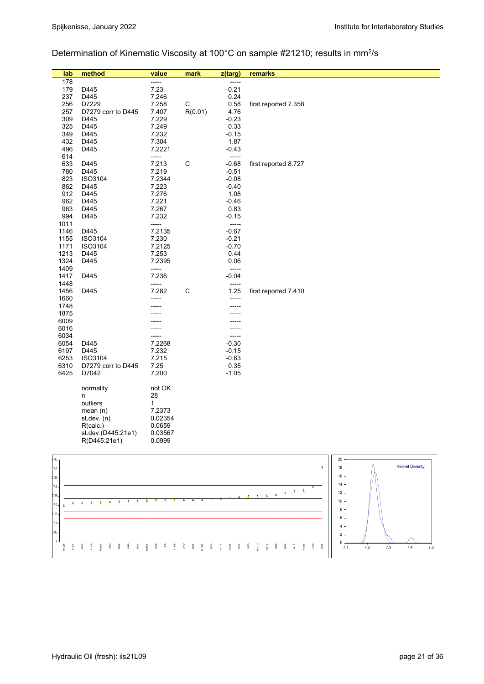# Determination of Kinematic Viscosity at 100°C on sample #21210; results in mm<sup>2</sup>/s

| lab          | method             | value          | mark        | z(targ)        | remarks              |
|--------------|--------------------|----------------|-------------|----------------|----------------------|
| 178          |                    | -----          |             | -----          |                      |
| 179          | D445               | 7.23           |             | $-0.21$        |                      |
| 237          | D445               | 7.246          |             | 0.24           |                      |
| 256          | D7229              | 7.258          | C           | 0.58           | first reported 7.358 |
| 257          | D7279 corr to D445 | 7.407          | R(0.01)     | 4.76           |                      |
| 309          | D445               | 7.229          |             | $-0.23$        |                      |
| 325          | D445               | 7.249          |             | 0.33           |                      |
| 349          | D445               | 7.232          |             | $-0.15$        |                      |
| 432          | D445               | 7.304          |             | 1.87           |                      |
| 496          | D445               | 7.2221         |             | $-0.43$        |                      |
| 614          |                    | -----          |             | $-----$        |                      |
| 633          | D445               | 7.213          | $\mathsf C$ | $-0.68$        | first reported 8.727 |
| 780          | D445               | 7.219          |             | $-0.51$        |                      |
| 823          | ISO3104            | 7.2344         |             | $-0.08$        |                      |
| 862          | D445               | 7.223          |             | $-0.40$        |                      |
| 912          | D445               | 7.276          |             | 1.08           |                      |
| 962          | D445               | 7.221          |             | $-0.46$        |                      |
| 963          | D445               | 7.267          |             | 0.83           |                      |
| 994          | D445               | 7.232          |             | $-0.15$        |                      |
| 1011         |                    | -----          |             | -----          |                      |
| 1146         | D445               | 7.2135         |             | $-0.67$        |                      |
| 1155         | ISO3104            | 7.230          |             | $-0.21$        |                      |
| 1171         | ISO3104            | 7.2125         |             | $-0.70$        |                      |
| 1213         | D445               | 7.253          |             | 0.44           |                      |
| 1324         | D445               | 7.2395         |             | 0.06           |                      |
| 1409         |                    | -----          |             | -----          |                      |
| 1417         | D445               | 7.236          |             | $-0.04$        |                      |
| 1448         |                    | -----<br>7.282 | $\mathsf C$ | -----          |                      |
| 1456         | D445               |                |             | 1.25           | first reported 7.410 |
| 1660<br>1748 |                    |                |             | -----<br>----- |                      |
| 1875         |                    |                |             |                |                      |
| 6009         |                    |                |             |                |                      |
| 6016         |                    |                |             | -----          |                      |
| 6034         |                    |                |             | -----          |                      |
| 6054         | D445               | 7.2268         |             | $-0.30$        |                      |
| 6197         | D445               | 7.232          |             | $-0.15$        |                      |
| 6253         | ISO3104            | 7.215          |             | $-0.63$        |                      |
| 6310         | D7279 corr to D445 | 7.25           |             | 0.35           |                      |
| 6425         | D7042              | 7.200          |             | $-1.05$        |                      |
|              |                    |                |             |                |                      |
|              | normality          | not OK         |             |                |                      |
|              | n                  | 28             |             |                |                      |
|              | outliers           | $\mathbf{1}$   |             |                |                      |
|              | mean $(n)$         | 7.2373         |             |                |                      |
|              | st.dev. (n)        | 0.02354        |             |                |                      |
|              | R(calc.)           | 0.0659         |             |                |                      |
|              | st.dev.(D445:21e1) | 0.03567        |             |                |                      |
|              | R(D445:21e1)       | 0.0999         |             |                |                      |
|              |                    |                |             |                |                      |

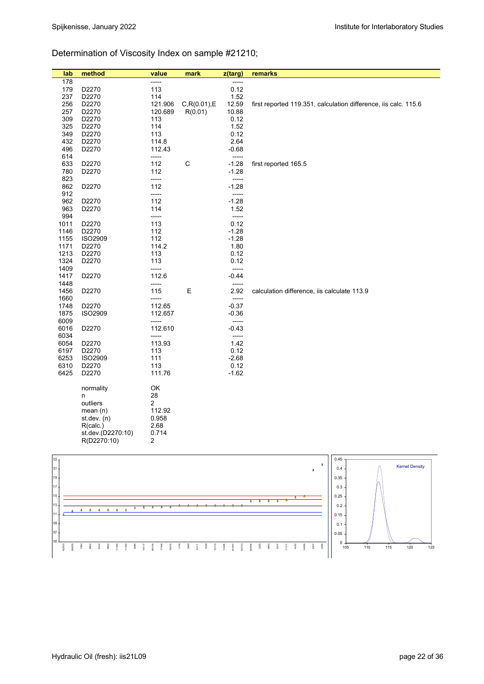# Determination of Viscosity Index on sample #21210;

| lab  | method            | value          | mark          | z(targ) | remarks                                                         |
|------|-------------------|----------------|---------------|---------|-----------------------------------------------------------------|
| 178  |                   | -----          |               | -----   |                                                                 |
| 179  | D2270             | 113            |               | 0.12    |                                                                 |
| 237  | D2270             | 114            |               | 1.52    |                                                                 |
| 256  | D2270             | 121.906        | C, R(0.01), E | 12.59   | first reported 119.351, calculation difference, iis calc. 115.6 |
| 257  | D2270             | 120.689        | R(0.01)       | 10.88   |                                                                 |
| 309  | D2270             | 113            |               | 0.12    |                                                                 |
| 325  | D2270             | 114            |               | 1.52    |                                                                 |
| 349  | D2270             | 113            |               | 0.12    |                                                                 |
| 432  | D2270             | 114.8          |               | 2.64    |                                                                 |
| 496  | D2270             | 112.43         |               | $-0.68$ |                                                                 |
| 614  |                   | -----          |               | $---$   |                                                                 |
| 633  | D2270             | 112            | C             | $-1.28$ | first reported 165.5                                            |
| 780  | D2270             | 112            |               | $-1.28$ |                                                                 |
| 823  |                   | -----          |               | -----   |                                                                 |
| 862  | D2270             | 112            |               | $-1.28$ |                                                                 |
| 912  |                   | -----          |               | -----   |                                                                 |
| 962  | D2270             | 112            |               | $-1.28$ |                                                                 |
| 963  | D2270             | 114            |               | 1.52    |                                                                 |
| 994  |                   | -----          |               | -----   |                                                                 |
| 1011 | D2270             | 113            |               | 0.12    |                                                                 |
| 1146 | D2270             | 112            |               | $-1.28$ |                                                                 |
| 1155 | <b>ISO2909</b>    | 112            |               | $-1.28$ |                                                                 |
| 1171 | D2270             | 114.2          |               | 1.80    |                                                                 |
| 1213 | D2270             | 113            |               | 0.12    |                                                                 |
| 1324 | D2270             | 113            |               | 0.12    |                                                                 |
| 1409 |                   | -----          |               | -----   |                                                                 |
| 1417 | D2270             | 112.6          |               | $-0.44$ |                                                                 |
| 1448 |                   | -----          |               | $---$   |                                                                 |
| 1456 | D2270             | 115            | Е             | 2.92    | calculation difference, iis calculate 113.9                     |
| 1660 |                   | -----          |               | -----   |                                                                 |
| 1748 | D2270             | 112.65         |               | $-0.37$ |                                                                 |
| 1875 | <b>ISO2909</b>    | 112.657        |               | $-0.36$ |                                                                 |
| 6009 |                   | -----          |               | -----   |                                                                 |
| 6016 | D2270             | 112.610        |               | $-0.43$ |                                                                 |
| 6034 |                   | -----          |               | -----   |                                                                 |
| 6054 | D2270             | 113.93         |               | 1.42    |                                                                 |
| 6197 | D2270             | 113            |               | 0.12    |                                                                 |
| 6253 | <b>ISO2909</b>    | 111            |               | $-2.68$ |                                                                 |
| 6310 | D2270             | 113            |               | 0.12    |                                                                 |
| 6425 | D2270             | 111.76         |               | $-1.62$ |                                                                 |
|      |                   |                |               |         |                                                                 |
|      | normality         | OK             |               |         |                                                                 |
|      | n                 | 28             |               |         |                                                                 |
|      | outliers          | $\overline{2}$ |               |         |                                                                 |
|      | mean $(n)$        | 112.92         |               |         |                                                                 |
|      | st. dev. (n)      | 0.958          |               |         |                                                                 |
|      | R(calc.)          | 2.68           |               |         |                                                                 |
|      | st.dev.(D2270:10) | 0.714          |               |         |                                                                 |
|      | R(D2270:10)       | 2              |               |         |                                                                 |

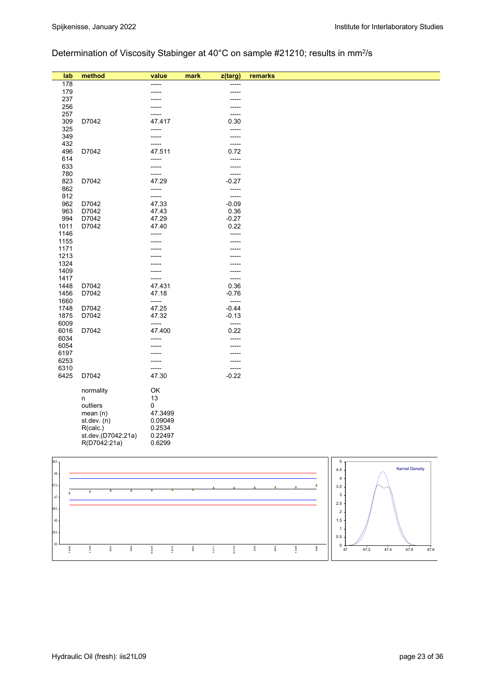# Determination of Viscosity Stabinger at 40°C on sample #21210; results in mm2/s

| lab          | method                             | value             | mark<br>z(targ)    | remarks |                       |                           |                       |
|--------------|------------------------------------|-------------------|--------------------|---------|-----------------------|---------------------------|-----------------------|
| 178          |                                    | -----             | -----              |         |                       |                           |                       |
| 179          |                                    |                   | -----              |         |                       |                           |                       |
| 237          |                                    |                   |                    |         |                       |                           |                       |
| 256          |                                    |                   | -----              |         |                       |                           |                       |
| 257<br>309   | D7042                              | 47.417            | 0.30               | -----   |                       |                           |                       |
| 325          |                                    | -----             | -----              |         |                       |                           |                       |
| 349          |                                    | -----             |                    | -----   |                       |                           |                       |
| 432          |                                    | -----             | -----              |         |                       |                           |                       |
| 496          | D7042                              | 47.511            | 0.72               |         |                       |                           |                       |
| 614          |                                    | -----             | -----              |         |                       |                           |                       |
| 633          |                                    | -----             | -----              |         |                       |                           |                       |
| 780          |                                    | -----             | -----              |         |                       |                           |                       |
| 823<br>862   | D7042                              | 47.29<br>-----    | $-0.27$<br>-----   |         |                       |                           |                       |
| 912          |                                    | -----             | -----              |         |                       |                           |                       |
| 962          | D7042                              | 47.33             | $-0.09$            |         |                       |                           |                       |
| 963          | D7042                              | 47.43             | 0.36               |         |                       |                           |                       |
| 994          | D7042                              | 47.29             | $-0.27$            |         |                       |                           |                       |
| 1011         | D7042                              | 47.40             | 0.22               |         |                       |                           |                       |
| 1146         |                                    | -----             | -----              |         |                       |                           |                       |
| 1155         |                                    |                   | -----              |         |                       |                           |                       |
| 1171<br>1213 |                                    |                   |                    |         |                       |                           |                       |
| 1324         |                                    |                   |                    |         |                       |                           |                       |
| 1409         |                                    |                   | -----              |         |                       |                           |                       |
| 1417         |                                    | -----             | -----              |         |                       |                           |                       |
| 1448         | D7042                              | 47.431            | 0.36               |         |                       |                           |                       |
| 1456         | D7042                              | 47.18             | $-0.76$            |         |                       |                           |                       |
| 1660         |                                    | -----             | -----              |         |                       |                           |                       |
| 1748<br>1875 | D7042<br>D7042                     | 47.25<br>47.32    | $-0.44$<br>$-0.13$ |         |                       |                           |                       |
| 6009         |                                    | -----             |                    | -----   |                       |                           |                       |
| 6016         | D7042                              | 47.400            | 0.22               |         |                       |                           |                       |
| 6034         |                                    | -----             | -----              |         |                       |                           |                       |
| 6054         |                                    |                   |                    |         |                       |                           |                       |
| 6197         |                                    |                   | -----              |         |                       |                           |                       |
| 6253         |                                    |                   | -----              |         |                       |                           |                       |
| 6310<br>6425 | D7042                              | -----<br>47.30    | -----<br>$-0.22$   |         |                       |                           |                       |
|              |                                    |                   |                    |         |                       |                           |                       |
|              | normality                          | OK                |                    |         |                       |                           |                       |
|              | n                                  | 13                |                    |         |                       |                           |                       |
|              | outliers                           | 0                 |                    |         |                       |                           |                       |
|              | mean(n)                            | 47.3499           |                    |         |                       |                           |                       |
|              | st. dev. (n)                       | 0.09049           |                    |         |                       |                           |                       |
|              | R(calc.)                           | 0.2534            |                    |         |                       |                           |                       |
|              | st.dev.(D7042:21a)<br>R(D7042:21a) | 0.22497<br>0.6299 |                    |         |                       |                           |                       |
|              |                                    |                   |                    |         |                       |                           |                       |
|              |                                    |                   |                    |         |                       |                           |                       |
| 48.5         |                                    |                   |                    |         |                       | 5                         | <b>Kernel Density</b> |
| $48\,$       |                                    |                   |                    |         |                       | $4.5\,$<br>$\overline{4}$ |                       |
| 47.5         |                                    |                   |                    |         | $\Lambda$<br>$\Delta$ | 3.5                       |                       |
|              | Δ                                  |                   |                    |         |                       | 3                         |                       |
| $47\,$       |                                    |                   |                    |         |                       | $2.5\,$                   |                       |
| 46.5         |                                    |                   |                    |         |                       | $\overline{2}$            |                       |

 $0 + 47$ 0.5 1 1.5 47.2 47.4 47.6 47.8

45 45.5 46

1456

1748

823

994

6425

1875

962

1011

6016

309

963

1448

496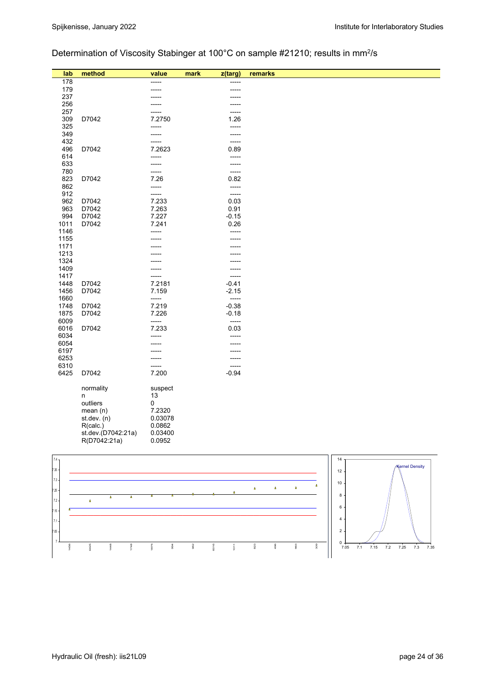# Determination of Viscosity Stabinger at 100°C on sample #21210; results in mm2/s

| lab          | method             | value          | mark | z(targ)         | remarks                                     |  |
|--------------|--------------------|----------------|------|-----------------|---------------------------------------------|--|
| 178          |                    | -----          |      | -----           |                                             |  |
| 179          |                    |                |      |                 |                                             |  |
| 237          |                    |                |      |                 |                                             |  |
| 256          |                    |                |      |                 |                                             |  |
| 257          |                    |                |      | -----           |                                             |  |
| 309          | D7042              | 7.2750         |      | 1.26            |                                             |  |
| 325          |                    | -----          |      | -----           |                                             |  |
| 349          |                    | -----          |      | -----           |                                             |  |
| 432          |                    | -----          |      | -----           |                                             |  |
| 496          | D7042              | 7.2623         |      | 0.89            |                                             |  |
| 614          |                    | -----          |      | -----           |                                             |  |
| 633          |                    | -----          |      | -----           |                                             |  |
| 780          |                    | -----          |      | -----           |                                             |  |
| 823          | D7042              | 7.26           |      | 0.82            |                                             |  |
| 862          |                    | -----          |      | -----           |                                             |  |
| 912          |                    | -----          |      | -----           |                                             |  |
| 962          | D7042              | 7.233          |      | 0.03            |                                             |  |
| 963<br>994   | D7042<br>D7042     | 7.263<br>7.227 |      | 0.91<br>$-0.15$ |                                             |  |
|              | D7042              | 7.241          |      | 0.26            |                                             |  |
| 1011<br>1146 |                    | -----          |      | -----           |                                             |  |
| 1155         |                    |                |      | -----           |                                             |  |
| 1171         |                    |                |      | -----           |                                             |  |
| 1213         |                    |                |      |                 |                                             |  |
| 1324         |                    |                |      |                 |                                             |  |
| 1409         |                    |                |      | -----           |                                             |  |
| 1417         |                    |                |      | -----           |                                             |  |
| 1448         | D7042              | 7.2181         |      | $-0.41$         |                                             |  |
| 1456         | D7042              | 7.159          |      | $-2.15$         |                                             |  |
| 1660         |                    | -----          |      | -----           |                                             |  |
| 1748         | D7042              | 7.219          |      | $-0.38$         |                                             |  |
| 1875         | D7042              | 7.226          |      | $-0.18$         |                                             |  |
| 6009         |                    | -----          |      | $-----$         |                                             |  |
| 6016         | D7042              | 7.233          |      | 0.03            |                                             |  |
| 6034         |                    | -----          |      | -----           |                                             |  |
| 6054         |                    |                |      | -----           |                                             |  |
| 6197         |                    |                |      |                 |                                             |  |
| 6253         |                    | -----          |      | -----           |                                             |  |
| 6310         |                    | -----          |      | -----           |                                             |  |
| 6425         | D7042              | 7.200          |      | $-0.94$         |                                             |  |
|              |                    |                |      |                 |                                             |  |
|              | normality          | suspect        |      |                 |                                             |  |
|              | n<br>outliers      | 13<br>0        |      |                 |                                             |  |
|              | mean(n)            | 7.2320         |      |                 |                                             |  |
|              | st.dev. (n)        | 0.03078        |      |                 |                                             |  |
|              | R(calc.)           | 0.0862         |      |                 |                                             |  |
|              | st.dev.(D7042:21a) | 0.03400        |      |                 |                                             |  |
|              | R(D7042:21a)       | 0.0952         |      |                 |                                             |  |
|              |                    |                |      |                 |                                             |  |
| $7.4\,$      |                    |                |      |                 | 14                                          |  |
|              |                    |                |      |                 | <b>Kernel Density</b>                       |  |
| 7.35         |                    |                |      |                 | 12                                          |  |
| $7.3\,$      |                    |                |      |                 | 10                                          |  |
| 7.25         |                    |                |      |                 | $\Delta$<br>Δ<br>$\pmb{\Delta}$<br>$\Delta$ |  |
|              |                    |                |      |                 | 8                                           |  |

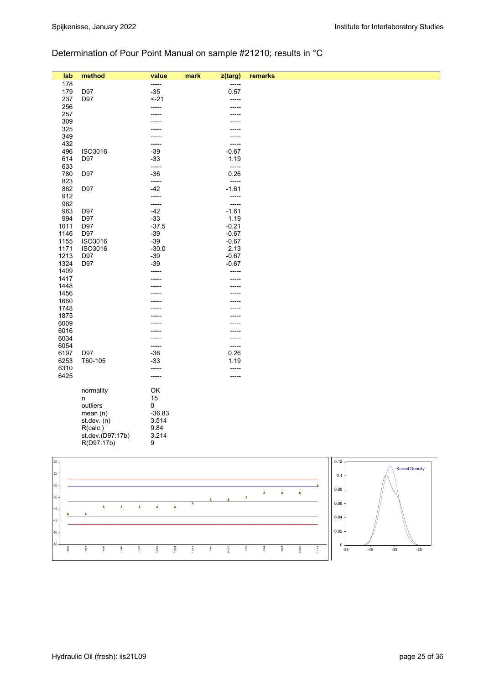# Determination of Pour Point Manual on sample #21210; results in °C

| lab      | method           | value    | z(targ)<br>mark | remarks |                       |
|----------|------------------|----------|-----------------|---------|-----------------------|
| 178      |                  | -----    | -----           |         |                       |
| 179      | D97              | $-35$    | 0.57            |         |                       |
| 237      | D97              | $-21$    | -----           |         |                       |
| 256      |                  | -----    | -----           |         |                       |
| 257      |                  | -----    |                 |         |                       |
| 309      |                  |          |                 |         |                       |
| 325      |                  |          | -----           |         |                       |
| 349      |                  |          |                 |         |                       |
| 432      |                  | -----    | -----           |         |                       |
| 496      | ISO3016          | $-39$    | $-0.67$         |         |                       |
| 614      | D97              | $-33$    | 1.19            |         |                       |
| 633      |                  | -----    | -----           |         |                       |
| 780      | D97              | $-36$    | 0.26            |         |                       |
| 823      |                  | -----    | $---$           |         |                       |
| 862      | D97              | $-42$    | $-1.61$         |         |                       |
| 912      |                  | -----    | -----           |         |                       |
| 962      |                  | -----    | -----           |         |                       |
| 963      | D97              | $-42$    | $-1.61$         |         |                       |
| 994      | D97              | $-33$    | 1.19            |         |                       |
| 1011     | D97              | $-37.5$  | $-0.21$         |         |                       |
| 1146     | D97              | $-39$    | $-0.67$         |         |                       |
| 1155     | ISO3016          | $-39$    | $-0.67$         |         |                       |
| 1171     | ISO3016          | $-30.0$  | 2.13            |         |                       |
| 1213     | D97              | $-39$    | $-0.67$         |         |                       |
| 1324     | D97              | $-39$    | $-0.67$         |         |                       |
| 1409     |                  | -----    | -----           |         |                       |
| 1417     |                  |          | -----           |         |                       |
| 1448     |                  |          | -----           |         |                       |
| 1456     |                  |          |                 |         |                       |
| 1660     |                  |          | -----           |         |                       |
| 1748     |                  |          |                 |         |                       |
| 1875     |                  |          |                 |         |                       |
| 6009     |                  |          |                 |         |                       |
| 6016     |                  |          | -----           |         |                       |
| 6034     |                  |          | -----           |         |                       |
| 6054     |                  | -----    | -----           |         |                       |
| 6197     | D97              | $-36$    | 0.26            |         |                       |
| 6253     | T60-105          | $-33$    | 1.19            |         |                       |
| 6310     |                  | -----    | -----           |         |                       |
| 6425     |                  | -----    | -----           |         |                       |
|          |                  |          |                 |         |                       |
|          | normality        | OK       |                 |         |                       |
|          | n                | 15       |                 |         |                       |
|          | outliers         | 0        |                 |         |                       |
|          | mean(n)          | $-36.83$ |                 |         |                       |
|          | st.dev. (n)      | 3.514    |                 |         |                       |
|          | R(calc.)         | 9.84     |                 |         |                       |
|          | st.dev.(D97:17b) | 3.214    |                 |         |                       |
|          | R(D97:17b)       | 9        |                 |         |                       |
|          |                  |          |                 |         |                       |
| $-20T$   |                  |          |                 | 0.12    |                       |
|          |                  |          |                 |         | <b>Kernel Density</b> |
| $\alpha$ |                  |          |                 |         |                       |

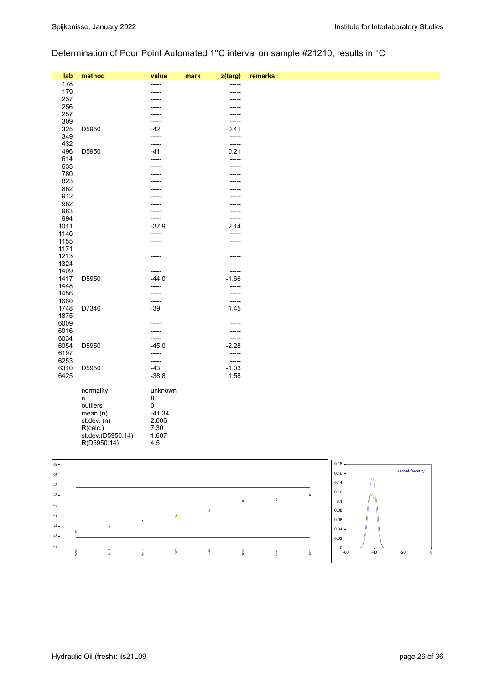# Determination of Pour Point Automated 1°C interval on sample #21210; results in °C

| lab          | method                           | value            | mark<br>z(targ) | remarks                                 |
|--------------|----------------------------------|------------------|-----------------|-----------------------------------------|
| 178          |                                  | -----            | -----           |                                         |
| 179          |                                  | -----            | ------          |                                         |
| 237          |                                  |                  |                 |                                         |
| 256          |                                  |                  |                 |                                         |
| 257<br>309   |                                  | -----            | -----<br>-----  |                                         |
| 325          | D5950                            | $-42$            | $-0.41$         |                                         |
| 349          |                                  | -----            | -----           |                                         |
| 432          |                                  | -----            | -----           |                                         |
| 496          | D5950                            | $-41$            | 0.21            |                                         |
| 614          |                                  | -----            | -----           |                                         |
| 633          |                                  | -----            | -----           |                                         |
| 780          |                                  |                  | -----           |                                         |
| 823          |                                  |                  |                 |                                         |
| 862<br>912   |                                  |                  | -----           |                                         |
| 962          |                                  |                  | -----           |                                         |
| 963          |                                  |                  | -----           |                                         |
| 994          |                                  | ------           | -----           |                                         |
| 1011         |                                  | $-37.9$          | 2.14            |                                         |
| 1146         |                                  | -----            | -----           |                                         |
| 1155         |                                  | -----            | -----           |                                         |
| 1171         |                                  |                  |                 |                                         |
| 1213         |                                  |                  |                 |                                         |
| 1324<br>1409 |                                  | $-----$          | -----<br>-----  |                                         |
| 1417         | D5950                            | $-44.0$          | $-1.66$         |                                         |
| 1448         |                                  | -----            | -----           |                                         |
| 1456         |                                  | -----            | -----           |                                         |
| 1660         |                                  | -----            | -----           |                                         |
| 1748         | D7346                            | $-39$            | 1.45            |                                         |
| 1875         |                                  |                  | -----           |                                         |
| 6009         |                                  | -----            | -----           |                                         |
| 6016<br>6034 |                                  | -----            | -----<br>-----  |                                         |
| 6054         | D5950                            | -----<br>$-45.0$ | $-2.28$         |                                         |
| 6197         |                                  | -----            | -----           |                                         |
| 6253         |                                  | -----            | -----           |                                         |
| 6310         | D5950                            | $-43$            | $-1.03$         |                                         |
| 6425         |                                  | $-38.8$          | 1.58            |                                         |
|              |                                  |                  |                 |                                         |
|              | normality                        | unknown          |                 |                                         |
|              | n<br>outliers                    | 8<br>0           |                 |                                         |
|              | mean (n)                         | $-41.34$         |                 |                                         |
|              | st.dev. (n)                      | 2.606            |                 |                                         |
|              | R(calc.)                         | 7.30             |                 |                                         |
|              | st.dev.(D5950:14)<br>R(D5950:14) | 1.607            |                 |                                         |
|              |                                  | 4.5              |                 |                                         |
|              |                                  |                  |                 |                                         |
| $-32$ ]      |                                  |                  |                 | 0.18                                    |
| $-34$        |                                  |                  |                 | <b>Kernel Density</b><br>0.16           |
| $-36 -$      |                                  |                  |                 | 0.14                                    |
|              |                                  |                  |                 | 0.12                                    |
| $-38$        |                                  |                  |                 | $\pmb{\Delta}$<br>$\pmb{\Delta}$<br>0.1 |
| $-40$        |                                  |                  |                 | 0.08                                    |
| $42$         |                                  | $\pmb{\Delta}$   |                 |                                         |
|              |                                  | Δ                |                 | 0.06                                    |

1417

6310

325

496

1748

6425

1011

 $0 + 60$ 0.02 0.04

-60 -40 -20 0

-48 -46 -44

6054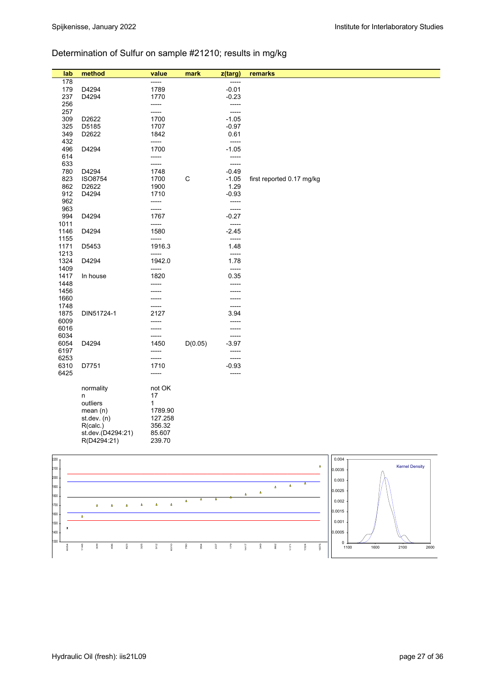# Determination of Sulfur on sample #21210; results in mg/kg

| lab        | method            | value         | mark    | z(targ)          | remarks                     |
|------------|-------------------|---------------|---------|------------------|-----------------------------|
| 178        |                   | $-----$       |         | -----            |                             |
| 179        | D4294             | 1789          |         | $-0.01$          |                             |
| 237        | D4294             | 1770          |         | $-0.23$          |                             |
| 256        |                   | -----         |         | -----            |                             |
| 257        |                   | -----         |         | -----            |                             |
| 309        | D2622             | 1700          |         | $-1.05$          |                             |
| 325        | D5185             | 1707          |         | $-0.97$          |                             |
| 349        | D2622             | 1842          |         | 0.61             |                             |
| 432        |                   | -----         |         | -----            |                             |
| 496        | D4294             | 1700          |         | $-1.05$          |                             |
| 614        |                   | -----         |         | -----            |                             |
| 633        |                   | -----         |         | $-----$          |                             |
| 780        | D4294             | 1748          |         | $-0.49$          |                             |
| 823        | <b>ISO8754</b>    | 1700          | C       | $-1.05$          | first reported 0.17 mg/kg   |
| 862        | D2622             | 1900          |         | 1.29             |                             |
| 912        | D4294             | 1710          |         | $-0.93$          |                             |
| 962        |                   | -----         |         | $-----$          |                             |
| 963<br>994 | D4294             | -----<br>1767 |         | -----<br>$-0.27$ |                             |
| 1011       |                   | -----         |         | -----            |                             |
| 1146       | D4294             | 1580          |         | $-2.45$          |                             |
| 1155       |                   | -----         |         | $-----$          |                             |
| 1171       | D5453             | 1916.3        |         | 1.48             |                             |
| 1213       |                   | -----         |         | $-----$          |                             |
| 1324       | D4294             | 1942.0        |         | 1.78             |                             |
| 1409       |                   | -----         |         | -----            |                             |
| 1417       | In house          | 1820          |         | 0.35             |                             |
| 1448       |                   | -----         |         | -----            |                             |
| 1456       |                   |               |         |                  |                             |
| 1660       |                   |               |         | -----            |                             |
| 1748       |                   |               |         | -----            |                             |
| 1875       | DIN51724-1        | 2127          |         | 3.94             |                             |
| 6009       |                   |               |         | -----            |                             |
| 6016       |                   | -----         |         | -----            |                             |
| 6034       |                   | ------        |         | $-----$          |                             |
| 6054       | D4294             | 1450          | D(0.05) | $-3.97$          |                             |
| 6197       |                   | -----         |         | -----            |                             |
| 6253       |                   | -----         |         | -----            |                             |
| 6310       | D7751             | 1710          |         | $-0.93$          |                             |
| 6425       |                   | -----         |         | $-----$          |                             |
|            |                   |               |         |                  |                             |
|            | normality<br>n    | not OK<br>17  |         |                  |                             |
|            | outliers          | $\mathbf{1}$  |         |                  |                             |
|            | mean(n)           | 1789.90       |         |                  |                             |
|            | st. dev. (n)      | 127.258       |         |                  |                             |
|            | R(calc.)          | 356.32        |         |                  |                             |
|            | st.dev.(D4294:21) | 85.607        |         |                  |                             |
|            | R(D4294:21)       | 239.70        |         |                  |                             |
|            |                   |               |         |                  |                             |
| 2200       |                   |               |         |                  | 0.004                       |
|            |                   |               |         |                  | Karnel Deneity<br>$\Lambda$ |

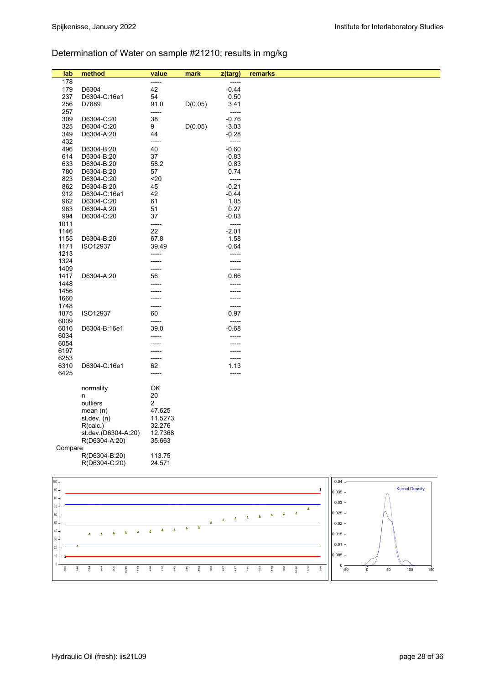# Determination of Water on sample #21210; results in mg/kg

| lab           | method                               | value             | mark    | z(targ)        | remarks |       |                       |
|---------------|--------------------------------------|-------------------|---------|----------------|---------|-------|-----------------------|
| 178           |                                      | -----             |         | -----          |         |       |                       |
| 179           | D6304                                | 42                |         | $-0.44$        |         |       |                       |
| 237           | D6304-C:16e1                         | 54                |         | 0.50           |         |       |                       |
| 256           | D7889                                | 91.0              | D(0.05) | 3.41           |         |       |                       |
| 257           |                                      | -----             |         | -----          |         |       |                       |
| 309           | D6304-C:20                           | 38                |         | $-0.76$        |         |       |                       |
| 325           | D6304-C:20                           | 9                 | D(0.05) | $-3.03$        |         |       |                       |
| 349           | D6304-A:20                           | 44                |         | $-0.28$        |         |       |                       |
| 432           |                                      | -----             |         | -----          |         |       |                       |
| 496           | D6304-B:20                           | 40                |         | $-0.60$        |         |       |                       |
| 614           | D6304-B:20                           | 37                |         | $-0.83$        |         |       |                       |
| 633           | D6304-B:20                           | 58.2              |         | 0.83           |         |       |                       |
| 780           | D6304-B:20                           | 57                |         | 0.74           |         |       |                       |
| 823           | D6304-C:20                           | $20$              |         | -----          |         |       |                       |
| 862           | D6304-B:20                           | 45                |         | $-0.21$        |         |       |                       |
| 912           | D6304-C:16e1                         | 42                |         | $-0.44$        |         |       |                       |
| 962           | D6304-C:20                           | 61                |         | 1.05           |         |       |                       |
| 963           | D6304-A:20                           | 51                |         | 0.27           |         |       |                       |
| 994           | D6304-C:20                           | 37                |         | $-0.83$        |         |       |                       |
| 1011          |                                      | -----             |         | -----          |         |       |                       |
| 1146          |                                      | 22                |         | $-2.01$        |         |       |                       |
| 1155          | D6304-B:20                           | 67.8              |         | 1.58           |         |       |                       |
| 1171          | ISO12937                             | 39.49             |         | $-0.64$        |         |       |                       |
| 1213          |                                      | -----             |         | -----          |         |       |                       |
| 1324<br>1409  |                                      |                   |         | -----<br>----- |         |       |                       |
| 1417          | D6304-A:20                           | 56                |         | 0.66           |         |       |                       |
| 1448          |                                      |                   |         | -----          |         |       |                       |
| 1456          |                                      |                   |         |                |         |       |                       |
| 1660          |                                      |                   |         |                |         |       |                       |
| 1748          |                                      | -----             |         | -----          |         |       |                       |
| 1875          | ISO12937                             | 60                |         | 0.97           |         |       |                       |
| 6009          |                                      | -----             |         | -----          |         |       |                       |
| 6016          | D6304-B:16e1                         | 39.0              |         | $-0.68$        |         |       |                       |
| 6034          |                                      |                   |         |                |         |       |                       |
| 6054          |                                      |                   |         | -----          |         |       |                       |
| 6197          |                                      |                   |         |                |         |       |                       |
| 6253          |                                      |                   |         | -----          |         |       |                       |
| 6310          | D6304-C:16e1                         | 62                |         | 1.13           |         |       |                       |
| 6425          |                                      | -----             |         | -----          |         |       |                       |
|               |                                      |                   |         |                |         |       |                       |
|               | normality                            | OK                |         |                |         |       |                       |
|               | n                                    | 20                |         |                |         |       |                       |
|               | outliers                             | $\overline{2}$    |         |                |         |       |                       |
|               | mean(n)                              | 47.625            |         |                |         |       |                       |
|               | st.dev. $(n)$                        | 11.5273           |         |                |         |       |                       |
|               | R(calc.)                             | 32.276            |         |                |         |       |                       |
|               | st.dev.(D6304-A:20)<br>R(D6304-A:20) | 12.7368<br>35.663 |         |                |         |       |                       |
| Compare       |                                      |                   |         |                |         |       |                       |
|               | R(D6304-B:20)                        | 113.75            |         |                |         |       |                       |
|               | R(D6304-C:20)                        | 24.571            |         |                |         |       |                       |
|               |                                      |                   |         |                |         |       |                       |
|               |                                      |                   |         |                |         | 0.04  |                       |
| 100<br>$90\,$ |                                      |                   |         |                | x       |       | <b>Kernel Density</b> |
| $80\,$        |                                      |                   |         |                |         | 0.035 |                       |
| $70\,$        |                                      |                   |         |                |         | 0.03  |                       |
|               |                                      |                   |         |                | Δ       |       |                       |

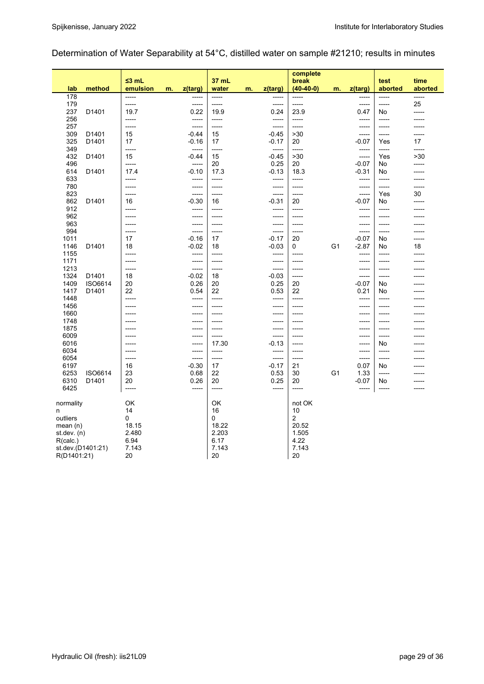# Determination of Water Separability at 54°C, distilled water on sample #21210; results in minutes

|               |                   |                         |               |                 |                |    |                  | complete             |                |                  |                    |                 |
|---------------|-------------------|-------------------------|---------------|-----------------|----------------|----|------------------|----------------------|----------------|------------------|--------------------|-----------------|
| lab           | method            | $\leq$ 3 mL<br>emulsion | z(targ)<br>m. |                 | 37 mL<br>water | m. | z(targ)          | break<br>$(40-40-0)$ | m.             | z(targ)          | test<br>aborted    | time<br>aborted |
| 178           |                   | -----                   |               | -----           | -----          |    | -----            | -----                |                | -----            | -----              | $---$           |
| 179           |                   | -----                   |               | -----           | -----          |    | -----            | -----                |                | -----            | -----              | 25              |
| 237           | D1401             | 19.7                    |               | 0.22            | 19.9           |    | 0.24             | 23.9                 |                | 0.47             | No                 | -----           |
| 256           |                   | -----                   |               | -----           | -----          |    | -----            | -----                |                | -----            | -----              |                 |
| 257           |                   | $-----$                 |               | -----           | -----          |    | -----            | -----                |                | -----            | -----              |                 |
| 309<br>325    | D1401             | 15<br>17                |               | -0.44           | 15<br>17       |    | $-0.45$          | >30<br>20            |                | -----            | $-----$            | -----           |
| 349           | D1401             | -----                   |               | -0.16<br>-----  | -----          |    | $-0.17$<br>----- | $-----$              |                | -0.07<br>-----   | Yes<br>$-----$     | 17<br>-----     |
| 432           | D1401             | 15                      |               | -0.44           | 15             |    | $-0.45$          | >30                  |                | -----            | Yes                | >30             |
| 496           |                   | -----                   |               | -----           | 20             |    | 0.25             | 20                   |                | $-0.07$          | No                 | -----           |
| 614           | D1401             | 17.4                    |               | $-0.10$         | 17.3           |    | $-0.13$          | 18.3                 |                | $-0.31$          | No                 |                 |
| 633           |                   | -----                   |               | -----           | -----          |    | -----            | $-----$              |                | -----            | $-----$            |                 |
| 780           |                   | -----                   |               | -----           | -----          |    | ------           | -----                |                | -----            | $-----$            | -----           |
| 823           |                   | $--- -$                 |               | -----           | -----          |    | -----            | -----                |                | -----            | Yes                | 30              |
| 862           | D1401             | 16                      |               | $-0.30$         | 16             |    | $-0.31$          | 20                   |                | -0.07            | No                 | -----           |
| 912           |                   | -----                   |               | -----           | -----          |    | -----            | -----                |                | -----            | $-----$            |                 |
| 962           |                   | -----                   |               | -----           | -----          |    | -----            | -----                |                | -----            | -----              |                 |
| 963           |                   | -----                   |               | -----           | -----          |    | -----            | $--- -$              |                | -----            | $-----1$           |                 |
| 994           |                   | -----                   |               | -----           | -----          |    | -----            | -----                |                | -----            | -----              |                 |
| 1011          |                   | 17                      |               | $-0.16$         | 17             |    | $-0.17$          | 20                   |                | $-0.07$          | No                 | $- - - - -$     |
| 1146          | D1401             | 18                      |               | $-0.02$         | 18             |    | $-0.03$          | 0                    | G <sub>1</sub> | $-2.87$          | No                 | 18              |
| 1155<br>1171  |                   | -----<br>-----          |               | -----<br>-----  | -----<br>----- |    | -----<br>-----   | -----<br>------      |                | -----<br>$--- -$ | $-----$<br>$-----$ |                 |
| 1213          |                   | -----                   |               | -----           | -----          |    | -----            | -----                |                | -----            | -----              |                 |
| 1324          | D1401             | 18                      |               | -0.02           | 18             |    | $-0.03$          | -----                |                | -----            | -----              |                 |
| 1409          | ISO6614           | 20                      |               | 0.26            | 20             |    | 0.25             | 20                   |                | -0.07            | No                 |                 |
| 1417          | D1401             | 22                      |               | 0.54            | 22             |    | 0.53             | 22                   |                | 0.21             | No                 |                 |
| 1448          |                   | $--- -$                 |               | -----           | -----          |    | -----            | $- - - - -$          |                | -----            | $--- -$            |                 |
| 1456          |                   | $--- -$                 |               | -----           | -----          |    | ------           | $--- -$              |                | $--- -$          | $-----$            |                 |
| 1660          |                   | -----                   |               | -----           | -----          |    | -----            | -----                |                | -----            | -----              |                 |
| 1748          |                   | $- - - - -$             |               | -----           | -----          |    | -----            | -----                |                | -----            | $-----1$           |                 |
| 1875          |                   | -----                   |               | -----           | -----          |    | -----            | -----                |                | -----            | -----              |                 |
| 6009          |                   | -----                   |               | -----           | -----          |    | -----            | -----                |                | -----            | -----              |                 |
| 6016          |                   | $--- -$                 |               | -----           | 17.30          |    | $-0.13$          | $- - - - -$          |                | -----            | No                 |                 |
| 6034          |                   | -----                   |               | -----           | -----          |    | -----            | -----                |                | $- - - - -$      | $- - - - -$        |                 |
| 6054          |                   | -----<br>16             |               | -----           | -----<br>17    |    | -----<br>$-0.17$ | -----<br>21          |                | -----            | $-----1$<br>No     |                 |
| 6197<br>6253  | ISO6614           | 23                      |               | $-0.30$<br>0.68 | 22             |    | 0.53             | 30                   | G <sub>1</sub> | 0.07<br>1.33     | -----              |                 |
| 6310          | D1401             | 20                      |               | 0.26            | 20             |    | 0.25             | 20                   |                | $-0.07$          | No                 |                 |
| 6425          |                   | -----                   |               | -----           | -----          |    | -----            | -----                |                | -----            | $-----$            |                 |
|               |                   |                         |               |                 |                |    |                  |                      |                |                  |                    |                 |
| normality     |                   | OK                      |               |                 | OK             |    |                  | not OK               |                |                  |                    |                 |
| n             |                   | 14                      |               |                 | 16             |    |                  | 10                   |                |                  |                    |                 |
| outliers      |                   | 0                       |               |                 | $\Omega$       |    |                  | $\overline{2}$       |                |                  |                    |                 |
| mean $(n)$    |                   | 18.15                   |               |                 | 18.22          |    |                  | 20.52                |                |                  |                    |                 |
| st.dev. $(n)$ |                   | 2.480                   |               |                 | 2.203          |    |                  | 1.505                |                |                  |                    |                 |
| R(calc.)      |                   | 6.94                    |               |                 | 6.17           |    |                  | 4.22                 |                |                  |                    |                 |
|               | st.dev.(D1401:21) | 7.143                   |               |                 | 7.143          |    |                  | 7.143                |                |                  |                    |                 |
| R(D1401:21)   |                   | 20                      |               |                 | 20             |    |                  | 20                   |                |                  |                    |                 |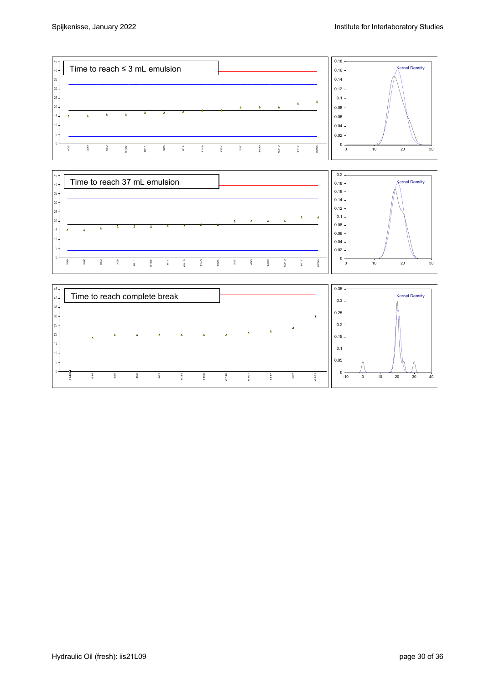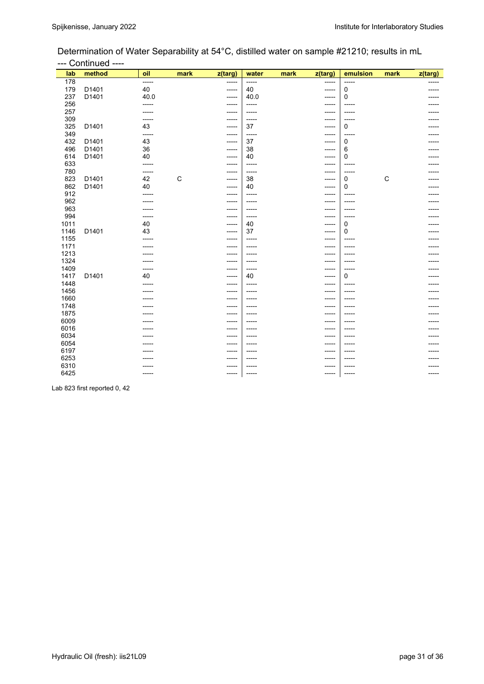## Determination of Water Separability at 54°C, distilled water on sample #21210; results in mL --- Continued ----

| lab  | method | oil   | mark        | $\overline{z}$ (targ) | water   | mark | z(targ)     | emulsion | mark         | z(targ) |
|------|--------|-------|-------------|-----------------------|---------|------|-------------|----------|--------------|---------|
| 178  |        | ----- |             | -----                 | $-----$ |      | -----       | -----    |              |         |
| 179  | D1401  | 40    |             | -----                 | 40      |      | $- - - - -$ | 0        |              |         |
| 237  | D1401  | 40.0  |             | -----                 | 40.0    |      | -----       | 0        |              |         |
| 256  |        | ----- |             | -----                 | -----   |      | -----       | -----    |              |         |
| 257  |        | ----- |             | -----                 | -----   |      | -----       | -----    |              |         |
| 309  |        | ----- |             | -----                 | -----   |      | -----       | -----    |              |         |
| 325  | D1401  | 43    |             | -----                 | 37      |      | -----       | 0        |              |         |
| 349  |        | ----- |             | -----                 | -----   |      | -----       | -----    |              |         |
| 432  | D1401  | 43    |             | -----                 | 37      |      | -----       | 0        |              |         |
| 496  | D1401  | 36    |             | -----                 | 38      |      | -----       | 6        |              |         |
| 614  | D1401  | 40    |             | -----                 | 40      |      | -----       | 0        |              |         |
| 633  |        | ----- |             | -----                 | -----   |      | -----       | -----    |              |         |
| 780  |        | ----- |             | -----                 | -----   |      | -----       | -----    |              |         |
| 823  | D1401  | 42    | $\mathsf C$ | -----                 | 38      |      | -----       | 0        | $\mathsf{C}$ |         |
| 862  | D1401  | 40    |             | -----                 | 40      |      | -----       | 0        |              |         |
| 912  |        |       |             | -----                 | -----   |      |             | -----    |              |         |
| 962  |        |       |             | -----                 | -----   |      | -----       | -----    |              |         |
| 963  |        | ----- |             | -----                 | -----   |      | -----       | -----    |              |         |
| 994  |        | ----- |             | -----                 | -----   |      | -----       | -----    |              |         |
| 1011 |        | 40    |             | -----                 | 40      |      | -----       | 0        |              |         |
| 1146 | D1401  | 43    |             | -----                 | 37      |      | -----       | 0        |              |         |
| 1155 |        | ----- |             | -----                 | -----   |      | -----       | -----    |              |         |
| 1171 |        |       |             | -----                 | -----   |      | -----       | -----    |              |         |
| 1213 |        |       |             | -----                 | -----   |      | -----       |          |              |         |
| 1324 |        |       |             | -----                 | -----   |      | -----       | -----    |              |         |
| 1409 |        |       |             | -----                 | -----   |      |             | -----    |              |         |
| 1417 | D1401  | 40    |             | -----                 | 40      |      | -----       | 0        |              |         |
| 1448 |        | ----  |             | -----                 | -----   |      | -----       | -----    |              |         |
| 1456 |        |       |             | -----                 | -----   |      | -----       | -----    |              |         |
| 1660 |        |       |             | -----                 |         |      | ----        |          |              |         |
| 1748 |        |       |             | -----                 | -----   |      |             | -----    |              |         |
| 1875 |        |       |             | -----                 | -----   |      | -----       | -----    |              |         |
| 6009 |        |       |             | -----                 | -----   |      | -----       | -----    |              |         |
| 6016 |        |       |             | -----                 | -----   |      | -----       |          |              |         |
| 6034 |        |       |             | -----                 |         |      |             |          |              |         |
| 6054 |        |       |             | -----                 |         |      |             |          |              |         |
| 6197 |        |       |             | -----                 | -----   |      | -----       | -----    |              |         |
| 6253 |        |       |             | -----                 | -----   |      | -----       |          |              |         |
| 6310 |        |       |             |                       |         |      |             |          |              |         |
| 6425 |        |       |             | -----                 | -----   |      | -----       | -----    |              |         |

Lab 823 first reported 0, 42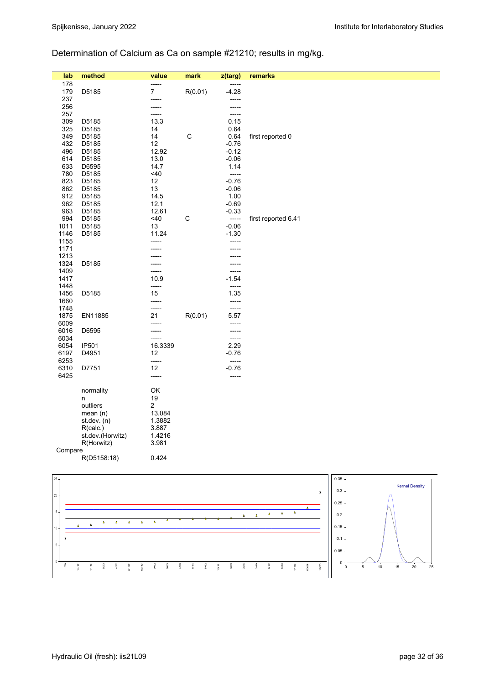# Determination of Calcium as Ca on sample #21210; results in mg/kg.

| lab          | method                                                       | value                   | mark        | z(targ)         | remarks                               |      |                       |
|--------------|--------------------------------------------------------------|-------------------------|-------------|-----------------|---------------------------------------|------|-----------------------|
| 178          |                                                              | -----                   |             | -----           |                                       |      |                       |
| 179          | D5185                                                        | $\boldsymbol{7}$        | R(0.01)     | $-4.28$         |                                       |      |                       |
| 237          |                                                              | -----                   |             | -----           |                                       |      |                       |
| 256          |                                                              | -----                   |             | -----           |                                       |      |                       |
| 257          |                                                              | -----                   |             | -----           |                                       |      |                       |
| 309          | D5185                                                        | 13.3                    |             | 0.15            |                                       |      |                       |
| 325          | D5185                                                        | 14                      |             | 0.64            |                                       |      |                       |
| 349          | D5185                                                        | 14                      | $\mathsf C$ | 0.64            | first reported 0                      |      |                       |
| 432          | D5185                                                        | 12                      |             | $-0.76$         |                                       |      |                       |
| 496          | D5185                                                        | 12.92                   |             | $-0.12$         |                                       |      |                       |
| 614<br>633   | D5185<br>D6595                                               | 13.0<br>14.7            |             | $-0.06$<br>1.14 |                                       |      |                       |
| 780          | D5185                                                        | <40                     |             | -----           |                                       |      |                       |
| 823          | D5185                                                        | 12                      |             | $-0.76$         |                                       |      |                       |
| 862          | D5185                                                        | 13                      |             | $-0.06$         |                                       |      |                       |
| 912          | D5185                                                        | 14.5                    |             | 1.00            |                                       |      |                       |
| 962          | D5185                                                        | 12.1                    |             | $-0.69$         |                                       |      |                       |
| 963          | D5185                                                        | 12.61                   |             | $-0.33$         |                                       |      |                       |
| 994          | D5185                                                        | <40                     | $\mathsf C$ | -----           | first reported 6.41                   |      |                       |
| 1011         | D5185                                                        | 13                      |             | $-0.06$         |                                       |      |                       |
| 1146         | D5185                                                        | 11.24                   |             | $-1.30$         |                                       |      |                       |
| 1155         |                                                              | -----                   |             | -----           |                                       |      |                       |
| 1171         |                                                              |                         |             | -----           |                                       |      |                       |
| 1213         |                                                              |                         |             |                 |                                       |      |                       |
| 1324         | D5185                                                        |                         |             | -----           |                                       |      |                       |
| 1409         |                                                              | -----                   |             | -----           |                                       |      |                       |
| 1417<br>1448 |                                                              | 10.9                    |             | $-1.54$         |                                       |      |                       |
| 1456         | D5185                                                        | -----<br>15             |             | -----<br>1.35   |                                       |      |                       |
| 1660         |                                                              | -----                   |             | -----           |                                       |      |                       |
| 1748         |                                                              | -----                   |             | -----           |                                       |      |                       |
| 1875         | EN11885                                                      | 21                      | R(0.01)     | 5.57            |                                       |      |                       |
| 6009         |                                                              | -----                   |             | -----           |                                       |      |                       |
| 6016         | D6595                                                        |                         |             | -----           |                                       |      |                       |
| 6034         |                                                              | -----                   |             | -----           |                                       |      |                       |
| 6054         | IP501                                                        | 16.3339                 |             | 2.29            |                                       |      |                       |
| 6197         | D4951                                                        | 12                      |             | $-0.76$         |                                       |      |                       |
| 6253         |                                                              | -----                   |             | -----           |                                       |      |                       |
| 6310         | D7751                                                        | 12                      |             | $-0.76$         |                                       |      |                       |
| 6425         |                                                              | -----                   |             | -----           |                                       |      |                       |
|              | normality                                                    | OK                      |             |                 |                                       |      |                       |
|              | n                                                            | 19                      |             |                 |                                       |      |                       |
|              | outliers                                                     | $\overline{\mathbf{c}}$ |             |                 |                                       |      |                       |
|              | mean(n)                                                      | 13.084                  |             |                 |                                       |      |                       |
|              | st.dev. $(n)$                                                | 1.3882                  |             |                 |                                       |      |                       |
|              | R(calc.)                                                     | 3.887                   |             |                 |                                       |      |                       |
|              | st.dev.(Horwitz)                                             | 1.4216                  |             |                 |                                       |      |                       |
|              | R(Horwitz)                                                   | 3.981                   |             |                 |                                       |      |                       |
| Compare      |                                                              |                         |             |                 |                                       |      |                       |
|              | R(D5158:18)                                                  | 0.424                   |             |                 |                                       |      |                       |
|              |                                                              |                         |             |                 |                                       |      |                       |
| $25 -$       |                                                              |                         |             |                 |                                       | 0.35 |                       |
|              |                                                              |                         |             |                 |                                       |      | <b>Kernel Density</b> |
| $20\,$       |                                                              |                         |             |                 | $\pmb{\mathsf{x}}$                    | 0.3  |                       |
|              |                                                              |                         |             |                 |                                       | 0.25 |                       |
| 15           |                                                              |                         |             |                 | $\pmb{\Lambda}$                       |      |                       |
|              |                                                              |                         |             | ۵               | $\pmb{\Delta}$<br>$\pmb{\Delta}$<br>Δ | 0.2  |                       |
| $10$         | $\pmb{\Delta}$<br>$\pmb{\Delta}$<br>Δ<br>٨<br>$\pmb{\Delta}$ | $\pmb{\Delta}$          |             |                 |                                       | 0.15 |                       |
| x            |                                                              |                         |             |                 |                                       | 0.1  |                       |
|              |                                                              |                         |             |                 |                                       |      |                       |

 $\overline{0}$ 

 179 1417 1146 823 432 6197 6310 962 963 496 614 862 1011<br>1011<br>1011 309 325  $\frac{9}{3}$  912 633 1456  $\frac{5}{6}$ 1875

 $0<sub>0</sub>$ 0.05

0 5 10 15 20 25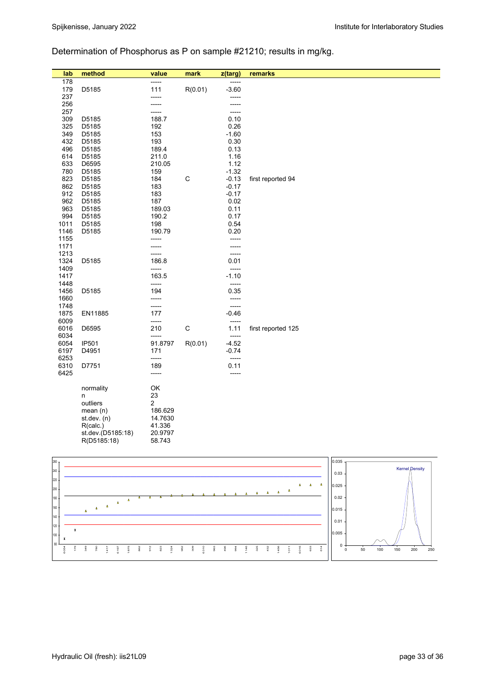# Determination of Phosphorus as P on sample #21210; results in mg/kg.

| lab          | method                           | value                   | mark        | z(targ)            | remarks                               |       |                       |
|--------------|----------------------------------|-------------------------|-------------|--------------------|---------------------------------------|-------|-----------------------|
| 178          |                                  | -----                   |             | -----              |                                       |       |                       |
| 179          | D5185                            | 111                     | R(0.01)     | $-3.60$            |                                       |       |                       |
| 237          |                                  | -----                   |             | -----              |                                       |       |                       |
| 256          |                                  | -----                   |             | -----              |                                       |       |                       |
| 257<br>309   | D5185                            | -----<br>188.7          |             | -----<br>0.10      |                                       |       |                       |
| 325          | D5185                            | 192                     |             | 0.26               |                                       |       |                       |
| 349          | D5185                            | 153                     |             | $-1.60$            |                                       |       |                       |
| 432          | D5185                            | 193                     |             | 0.30               |                                       |       |                       |
| 496          | D5185                            | 189.4                   |             | 0.13               |                                       |       |                       |
| 614          | D5185                            | 211.0                   |             | 1.16               |                                       |       |                       |
| 633          | D6595                            | 210.05                  |             | 1.12               |                                       |       |                       |
| 780          | D5185                            | 159                     |             | $-1.32$            |                                       |       |                       |
| 823<br>862   | D5185                            | 184<br>183              | $\mathsf C$ | $-0.13$<br>$-0.17$ | first reported 94                     |       |                       |
| 912          | D5185<br>D5185                   | 183                     |             | $-0.17$            |                                       |       |                       |
| 962          | D5185                            | 187                     |             | 0.02               |                                       |       |                       |
| 963          | D5185                            | 189.03                  |             | 0.11               |                                       |       |                       |
| 994          | D5185                            | 190.2                   |             | 0.17               |                                       |       |                       |
| 1011         | D5185                            | 198                     |             | 0.54               |                                       |       |                       |
| 1146         | D5185                            | 190.79                  |             | 0.20               |                                       |       |                       |
| 1155         |                                  | -----                   |             | -----              |                                       |       |                       |
| 1171<br>1213 |                                  | -----                   |             | -----              |                                       |       |                       |
| 1324         | D5185                            | -----<br>186.8          |             | -----<br>0.01      |                                       |       |                       |
| 1409         |                                  | -----                   |             | -----              |                                       |       |                       |
| 1417         |                                  | 163.5                   |             | $-1.10$            |                                       |       |                       |
| 1448         |                                  | -----                   |             | -----              |                                       |       |                       |
| 1456         | D5185                            | 194                     |             | 0.35               |                                       |       |                       |
| 1660         |                                  | -----                   |             | -----              |                                       |       |                       |
| 1748         |                                  | -----                   |             | -----              |                                       |       |                       |
| 1875<br>6009 | EN11885                          | 177<br>-----            |             | $-0.46$<br>-----   |                                       |       |                       |
| 6016         | D6595                            | 210                     | $\mathsf C$ | 1.11               | first reported 125                    |       |                       |
| 6034         |                                  | -----                   |             | -----              |                                       |       |                       |
| 6054         | IP501                            | 91.8797                 | R(0.01)     | $-4.52$            |                                       |       |                       |
| 6197         | D4951                            | 171                     |             | $-0.74$            |                                       |       |                       |
| 6253         |                                  | -----                   |             | -----              |                                       |       |                       |
| 6310         | D7751                            | 189                     |             | 0.11               |                                       |       |                       |
| 6425         |                                  | -----                   |             | -----              |                                       |       |                       |
|              | normality                        | OK                      |             |                    |                                       |       |                       |
|              | n                                | 23                      |             |                    |                                       |       |                       |
|              | outliers                         | $\overline{\mathbf{c}}$ |             |                    |                                       |       |                       |
|              | mean $(n)$                       | 186.629                 |             |                    |                                       |       |                       |
|              | st.dev. (n)                      | 14.7630                 |             |                    |                                       |       |                       |
|              | R(calc.)                         | 41.336                  |             |                    |                                       |       |                       |
|              | st.dev.(D5185:18)                | 20.9797                 |             |                    |                                       |       |                       |
|              | R(D5185:18)                      | 58.743                  |             |                    |                                       |       |                       |
|              |                                  |                         |             |                    |                                       |       |                       |
| 260          |                                  |                         |             |                    |                                       | 0.035 |                       |
| 240          |                                  |                         |             |                    |                                       | 0.03  | <b>Kernel Density</b> |
| 220          |                                  |                         |             |                    |                                       |       |                       |
| $200\,$      |                                  |                         |             |                    | $\Delta$<br>$\Delta$<br>$\Delta$<br>Δ | 0.025 |                       |
| 180          | $\Delta$                         |                         |             |                    | $\pmb{\Delta}$<br>$\pmb{\Delta}$<br>Δ | 0.02  |                       |
| $160\,$      | $\Delta$<br>$\Delta$<br>$\Delta$ |                         |             |                    |                                       | 0.015 |                       |
| 140          | $\pmb{\Delta}$                   |                         |             |                    |                                       |       |                       |
| $120\,$      |                                  |                         |             |                    |                                       | 0.01  |                       |
| $\pmb{\chi}$ |                                  |                         |             |                    |                                       | 0.005 |                       |

309 6310 963 496 994 1146

 325 432 1456  $\frac{1}{2}$  6016 633 614  $0\frac{1}{0}$ 

0 50 100 150 200 250

**90** 100

 6054 179 349 780 1417 6197 1875 862 912 823 1324 962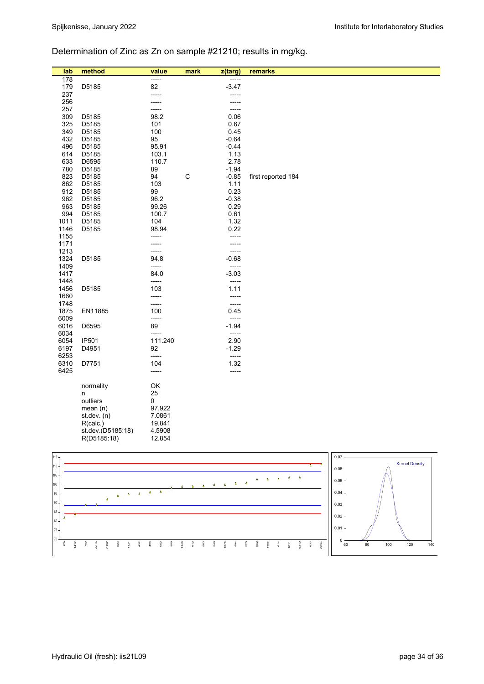# Determination of Zinc as Zn on sample #21210; results in mg/kg.

| lab          | method            | value        | mark         | z(targ)        | remarks            |          |
|--------------|-------------------|--------------|--------------|----------------|--------------------|----------|
| 178          |                   | -----        |              |                |                    |          |
| 179          | D5185             | 82           |              | $-3.47$        |                    |          |
| 237          |                   | -----        |              | -----          |                    |          |
| 256          |                   | -----        |              |                |                    |          |
| 257          |                   | -----        |              |                |                    |          |
| 309          | D5185             | 98.2         |              | 0.06           |                    |          |
| 325<br>349   | D5185<br>D5185    | 101<br>100   |              | 0.67<br>0.45   |                    |          |
| 432          | D5185             | 95           |              | $-0.64$        |                    |          |
| 496          | D5185             | 95.91        |              | $-0.44$        |                    |          |
| 614          | D5185             | 103.1        |              | 1.13           |                    |          |
| 633          | D6595             | 110.7        |              | 2.78           |                    |          |
| 780          | D5185             | 89           |              | $-1.94$        |                    |          |
| 823          | D5185             | 94           | $\mathsf{C}$ | $-0.85$        | first reported 184 |          |
| 862          | D5185             | 103          |              | 1.11           |                    |          |
| 912          | D5185             | 99           |              | 0.23           |                    |          |
| 962          | D5185             | 96.2         |              | $-0.38$        |                    |          |
| 963          | D5185             | 99.26        |              | 0.29           |                    |          |
| 994<br>1011  | D5185<br>D5185    | 100.7<br>104 |              | 0.61<br>1.32   |                    |          |
| 1146         | D5185             | 98.94        |              | 0.22           |                    |          |
| 1155         |                   | -----        |              | -----          |                    |          |
| 1171         |                   | -----        |              |                |                    |          |
| 1213         |                   | -----        |              | -----          |                    |          |
| 1324         | D5185             | 94.8         |              | $-0.68$        |                    |          |
| 1409         |                   | -----        |              | -----          |                    |          |
| 1417         |                   | 84.0         |              | $-3.03$        |                    |          |
| 1448         |                   | -----        |              | $-----$        |                    |          |
| 1456         | D5185             | 103          |              | 1.11           |                    |          |
| 1660<br>1748 |                   | -----        |              | -----<br>----- |                    |          |
| 1875         | EN11885           | -----<br>100 |              | 0.45           |                    |          |
| 6009         |                   | -----        |              | -----          |                    |          |
| 6016         | D6595             | 89           |              | $-1.94$        |                    |          |
| 6034         |                   | -----        |              | $-----$        |                    |          |
| 6054         | <b>IP501</b>      | 111.240      |              | 2.90           |                    |          |
| 6197         | D4951             | 92           |              | $-1.29$        |                    |          |
| 6253         |                   | -----        |              | $-----$        |                    |          |
| 6310         | D7751             | 104          |              | 1.32           |                    |          |
| 6425         |                   | -----        |              | $--- -$        |                    |          |
|              |                   | OK           |              |                |                    |          |
|              | normality<br>n    | 25           |              |                |                    |          |
|              | outliers          | 0            |              |                |                    |          |
|              | mean $(n)$        | 97.922       |              |                |                    |          |
|              | st. dev. (n)      | 7.0861       |              |                |                    |          |
|              | R(calc.)          | 19.841       |              |                |                    |          |
|              | st.dev.(D5185:18) | 4.5908       |              |                |                    |          |
|              | R(D5185:18)       | 12.854       |              |                |                    |          |
|              |                   |              |              |                |                    |          |
| $115 -$      |                   |              |              |                |                    | $0.07 -$ |

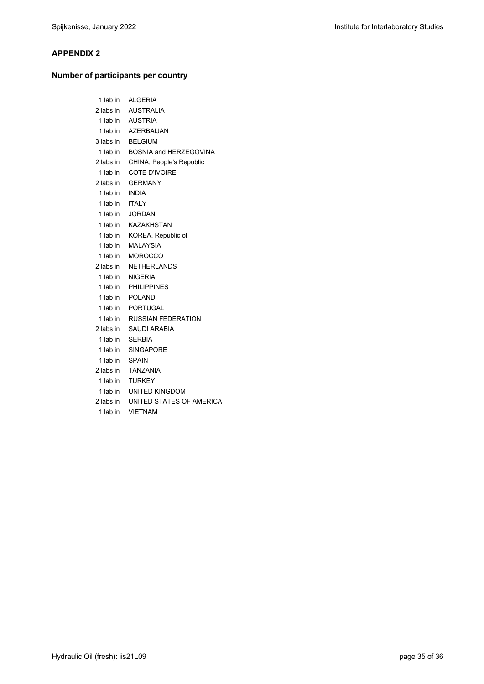#### **APPENDIX 2**

### **Number of participants per country**

| 1 lab in  | ALGERIA                   |
|-----------|---------------------------|
|           | 2 labs in AUSTRALIA       |
| 1 lab in  | <b>AUSTRIA</b>            |
| 1 lab in  | <b>AZERBAIJAN</b>         |
| 3 labs in | <b>BELGIUM</b>            |
| 1 lab in  | BOSNIA and HERZEGOVINA    |
| 2 labs in | CHINA, People's Republic  |
| 1 lab in  | COTE D'IVOIRE             |
| 2 labs in | <b>GERMANY</b>            |
| 1 lab in  | <b>INDIA</b>              |
| 1 lab in  | <b>ITALY</b>              |
| 1 lab in  | <b>JORDAN</b>             |
| 1 lab in  | <b>KAZAKHSTAN</b>         |
| 1 lab in  | KOREA, Republic of        |
| 1 lab in  | <b>MALAYSIA</b>           |
| 1 lab in  | <b>MOROCCO</b>            |
| 2 labs in | <b>NETHERLANDS</b>        |
| 1 lab in  | <b>NIGERIA</b>            |
| 1 lab in  | <b>PHILIPPINES</b>        |
| 1 lab in  | <b>POLAND</b>             |
| 1 lab in  | <b>PORTUGAL</b>           |
| 1 lab in  | <b>RUSSIAN FEDERATION</b> |
| 2 labs in | <b>SAUDI ARABIA</b>       |
| 1 lab in  | <b>SERBIA</b>             |
| 1 lab in  | SINGAPORE                 |
| 1 lab in  | <b>SPAIN</b>              |
| 2 labs in | <b>TANZANIA</b>           |
| 1 lab in  | <b>TURKEY</b>             |
| 1 lab in  | UNITED KINGDOM            |
| 2 labs in | UNITED STATES OF AMERICA  |
| 1 lab in  | <b>VIETNAM</b>            |